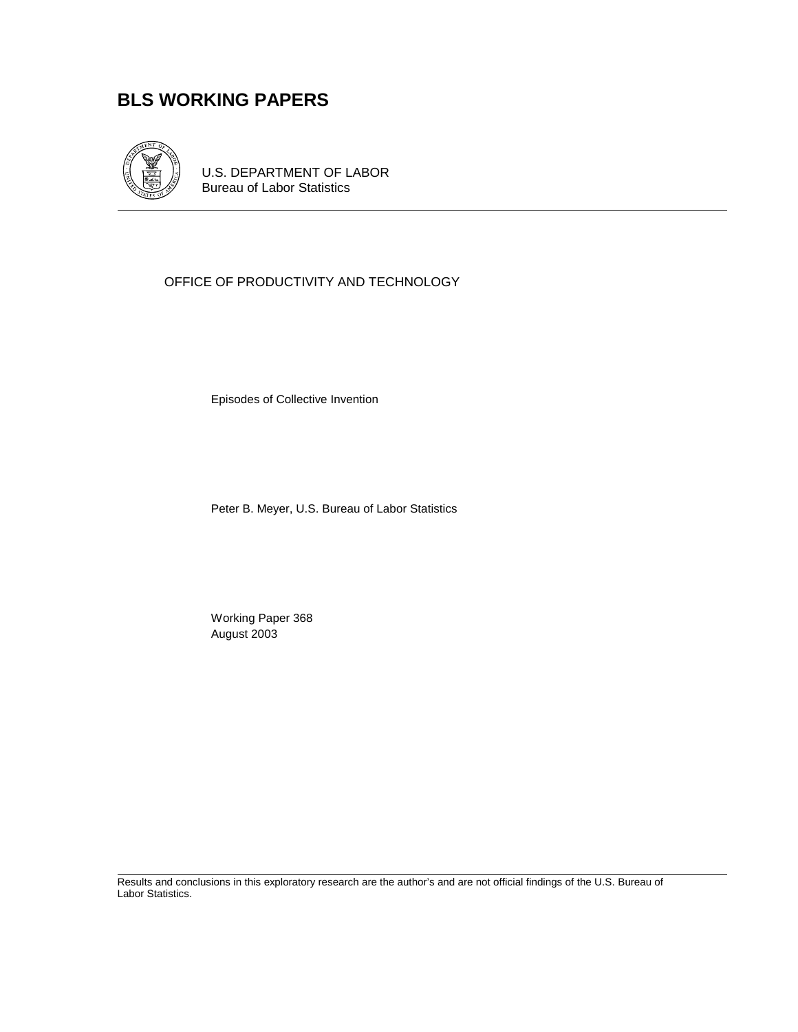# **BLS WORKING PAPERS**



U.S. DEPARTMENT OF LABOR Bureau of Labor Statistics

## OFFICE OF PRODUCTIVITY AND TECHNOLOGY

Episodes of Collective Invention

Peter B. Meyer, U.S. Bureau of Labor Statistics

 Working Paper 368 August 2003

Results and conclusions in this exploratory research are the author's and are not official findings of the U.S. Bureau of Labor Statistics.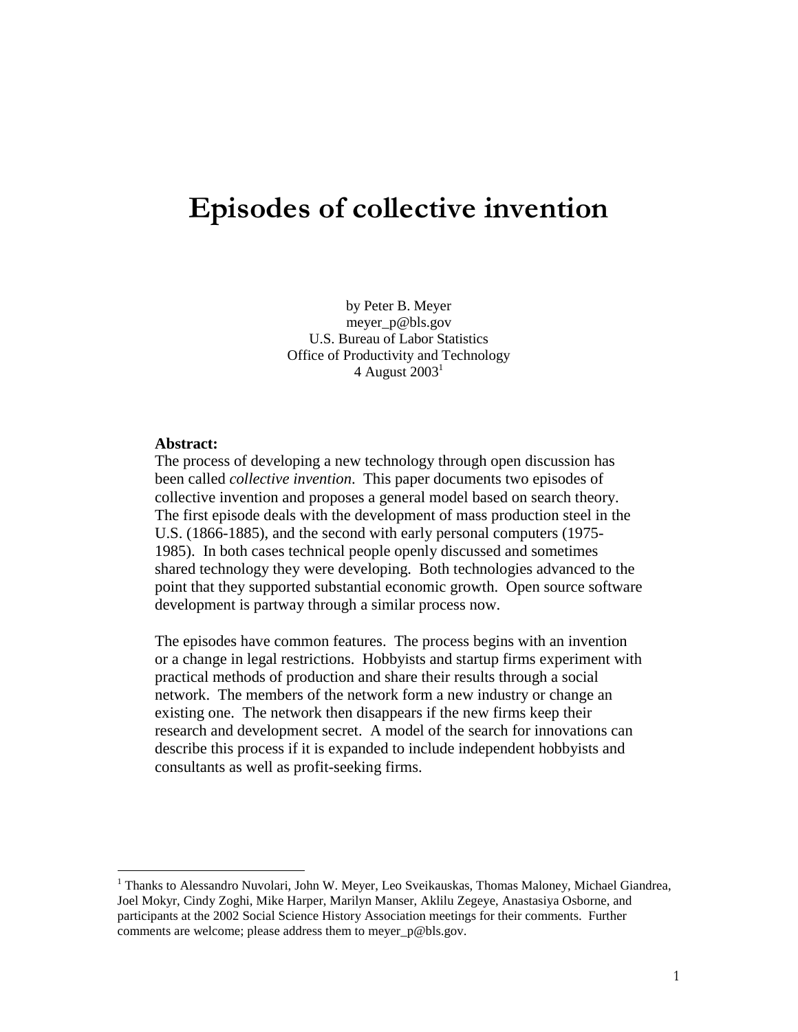# Episodes of collective invention

by Peter B. Meyer meyer\_p@bls.gov U.S. Bureau of Labor Statistics Office of Productivity and Technology 4 August  $2003<sup>1</sup>$ 

#### **Abstract:**

------------------------------------------------

The process of developing a new technology through open discussion has been called *collective invention*. This paper documents two episodes of collective invention and proposes a general model based on search theory. The first episode deals with the development of mass production steel in the U.S. (1866-1885), and the second with early personal computers (1975- 1985). In both cases technical people openly discussed and sometimes shared technology they were developing. Both technologies advanced to the point that they supported substantial economic growth. Open source software development is partway through a similar process now.

The episodes have common features. The process begins with an invention or a change in legal restrictions. Hobbyists and startup firms experiment with practical methods of production and share their results through a social network. The members of the network form a new industry or change an existing one. The network then disappears if the new firms keep their research and development secret. A model of the search for innovations can describe this process if it is expanded to include independent hobbyists and consultants as well as profit-seeking firms.

<sup>&</sup>lt;sup>1</sup> Thanks to Alessandro Nuvolari, John W. Meyer, Leo Sveikauskas, Thomas Maloney, Michael Giandrea, Joel Mokyr, Cindy Zoghi, Mike Harper, Marilyn Manser, Aklilu Zegeye, Anastasiya Osborne, and participants at the 2002 Social Science History Association meetings for their comments. Further comments are welcome; please address them to meyer\_p@bls.gov.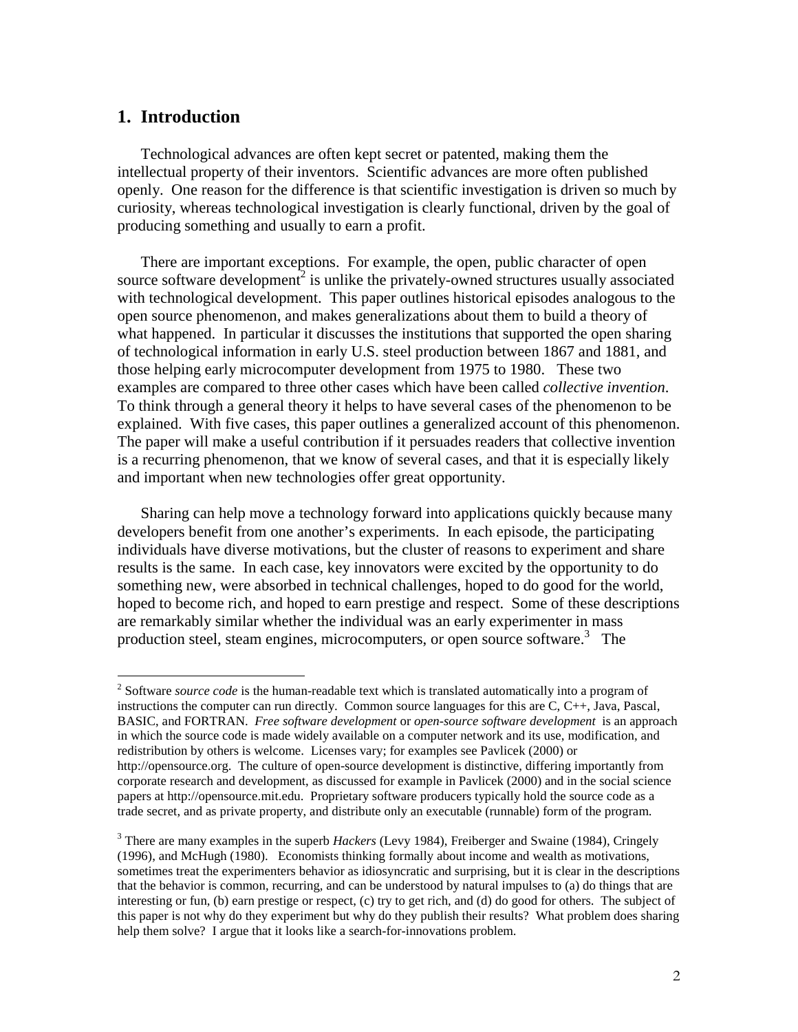# **1. Introduction**

Technological advances are often kept secret or patented, making them the intellectual property of their inventors. Scientific advances are more often published openly. One reason for the difference is that scientific investigation is driven so much by curiosity, whereas technological investigation is clearly functional, driven by the goal of producing something and usually to earn a profit.

There are important exceptions. For example, the open, public character of open source software development<sup>2</sup> is unlike the privately-owned structures usually associated with technological development. This paper outlines historical episodes analogous to the open source phenomenon, and makes generalizations about them to build a theory of what happened. In particular it discusses the institutions that supported the open sharing of technological information in early U.S. steel production between 1867 and 1881, and those helping early microcomputer development from 1975 to 1980. These two examples are compared to three other cases which have been called *collective invention*. To think through a general theory it helps to have several cases of the phenomenon to be explained. With five cases, this paper outlines a generalized account of this phenomenon. The paper will make a useful contribution if it persuades readers that collective invention is a recurring phenomenon, that we know of several cases, and that it is especially likely and important when new technologies offer great opportunity.

Sharing can help move a technology forward into applications quickly because many developers benefit from one another's experiments. In each episode, the participating individuals have diverse motivations, but the cluster of reasons to experiment and share results is the same. In each case, key innovators were excited by the opportunity to do something new, were absorbed in technical challenges, hoped to do good for the world, hoped to become rich, and hoped to earn prestige and respect. Some of these descriptions are remarkably similar whether the individual was an early experimenter in mass production steel, steam engines, microcomputers, or open source software.<sup>3</sup> The

<sup>&</sup>lt;sup>2</sup> Software *source code* is the human-readable text which is translated automatically into a program of instructions the computer can run directly. Common source languages for this are C, C++, Java, Pascal, BASIC, and FORTRAN. *Free software development* or *open-source software development* is an approach in which the source code is made widely available on a computer network and its use, modification, and redistribution by others is welcome. Licenses vary; for examples see Pavlicek (2000) or http://opensource.org. The culture of open-source development is distinctive, differing importantly from corporate research and development, as discussed for example in Pavlicek (2000) and in the social science papers at http://opensource.mit.edu. Proprietary software producers typically hold the source code as a trade secret, and as private property, and distribute only an executable (runnable) form of the program.

<sup>3</sup> There are many examples in the superb *Hackers* (Levy 1984), Freiberger and Swaine (1984), Cringely (1996), and McHugh (1980). Economists thinking formally about income and wealth as motivations, sometimes treat the experimenters behavior as idiosyncratic and surprising, but it is clear in the descriptions that the behavior is common, recurring, and can be understood by natural impulses to (a) do things that are interesting or fun, (b) earn prestige or respect, (c) try to get rich, and (d) do good for others. The subject of this paper is not why do they experiment but why do they publish their results? What problem does sharing help them solve? I argue that it looks like a search-for-innovations problem.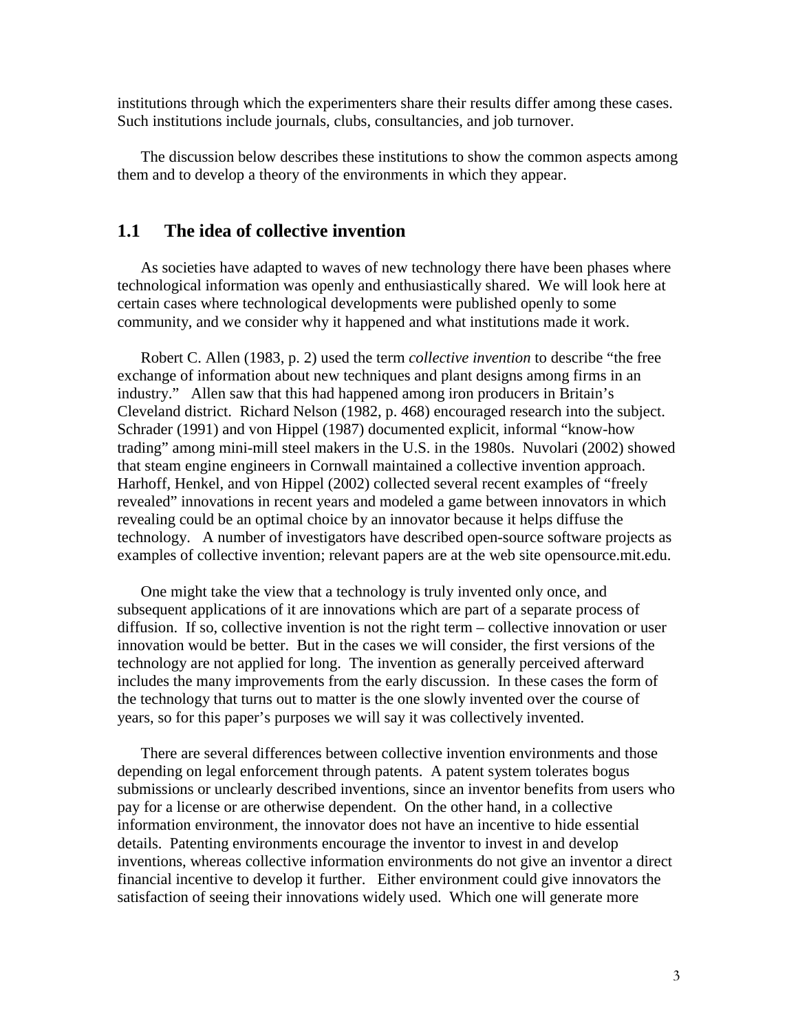institutions through which the experimenters share their results differ among these cases. Such institutions include journals, clubs, consultancies, and job turnover.

The discussion below describes these institutions to show the common aspects among them and to develop a theory of the environments in which they appear.

# **1.1 The idea of collective invention**

As societies have adapted to waves of new technology there have been phases where technological information was openly and enthusiastically shared. We will look here at certain cases where technological developments were published openly to some community, and we consider why it happened and what institutions made it work.

Robert C. Allen (1983, p. 2) used the term *collective invention* to describe "the free exchange of information about new techniques and plant designs among firms in an industry." Allen saw that this had happened among iron producers in Britain's Cleveland district. Richard Nelson (1982, p. 468) encouraged research into the subject. Schrader (1991) and von Hippel (1987) documented explicit, informal "know-how trading" among mini-mill steel makers in the U.S. in the 1980s. Nuvolari (2002) showed that steam engine engineers in Cornwall maintained a collective invention approach. Harhoff, Henkel, and von Hippel (2002) collected several recent examples of "freely revealed" innovations in recent years and modeled a game between innovators in which revealing could be an optimal choice by an innovator because it helps diffuse the technology. A number of investigators have described open-source software projects as examples of collective invention; relevant papers are at the web site opensource.mit.edu.

One might take the view that a technology is truly invented only once, and subsequent applications of it are innovations which are part of a separate process of diffusion. If so, collective invention is not the right term – collective innovation or user innovation would be better. But in the cases we will consider, the first versions of the technology are not applied for long. The invention as generally perceived afterward includes the many improvements from the early discussion. In these cases the form of the technology that turns out to matter is the one slowly invented over the course of years, so for this paper's purposes we will say it was collectively invented.

There are several differences between collective invention environments and those depending on legal enforcement through patents. A patent system tolerates bogus submissions or unclearly described inventions, since an inventor benefits from users who pay for a license or are otherwise dependent. On the other hand, in a collective information environment, the innovator does not have an incentive to hide essential details. Patenting environments encourage the inventor to invest in and develop inventions, whereas collective information environments do not give an inventor a direct financial incentive to develop it further. Either environment could give innovators the satisfaction of seeing their innovations widely used. Which one will generate more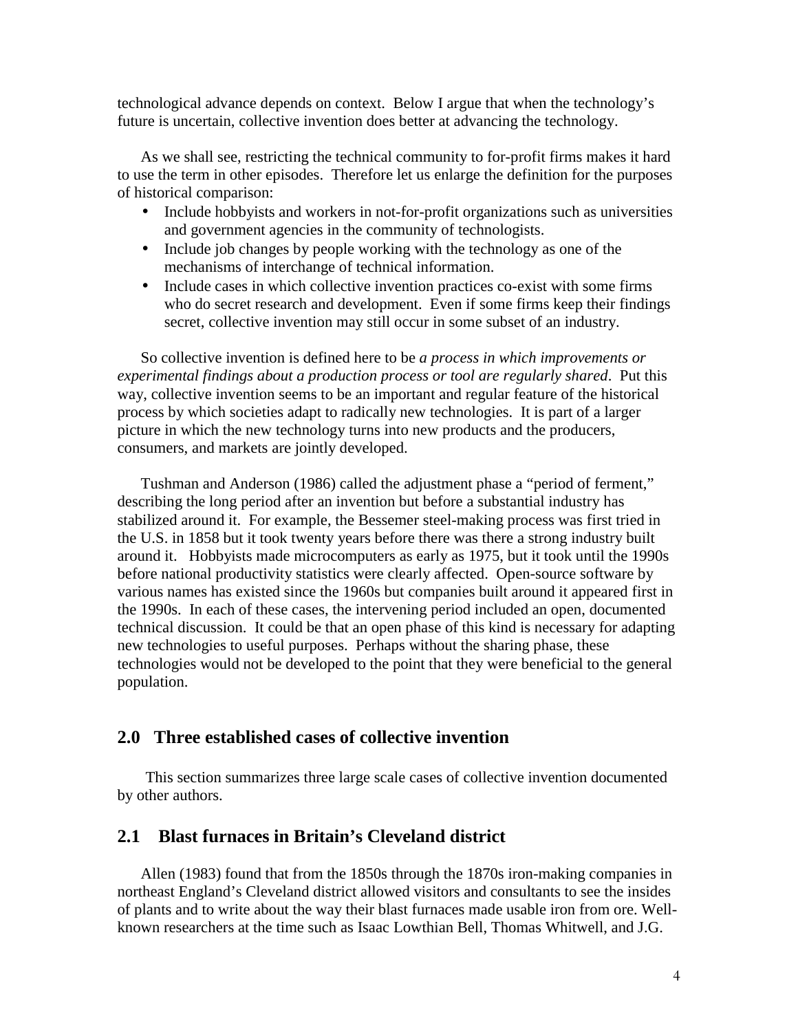technological advance depends on context. Below I argue that when the technology's future is uncertain, collective invention does better at advancing the technology.

As we shall see, restricting the technical community to for-profit firms makes it hard to use the term in other episodes. Therefore let us enlarge the definition for the purposes of historical comparison:

- Include hobbyists and workers in not-for-profit organizations such as universities and government agencies in the community of technologists.
- Include job changes by people working with the technology as one of the mechanisms of interchange of technical information.
- Include cases in which collective invention practices co-exist with some firms who do secret research and development. Even if some firms keep their findings secret, collective invention may still occur in some subset of an industry.

So collective invention is defined here to be *a process in which improvements or experimental findings about a production process or tool are regularly shared*. Put this way, collective invention seems to be an important and regular feature of the historical process by which societies adapt to radically new technologies. It is part of a larger picture in which the new technology turns into new products and the producers, consumers, and markets are jointly developed.

Tushman and Anderson (1986) called the adjustment phase a "period of ferment," describing the long period after an invention but before a substantial industry has stabilized around it. For example, the Bessemer steel-making process was first tried in the U.S. in 1858 but it took twenty years before there was there a strong industry built around it. Hobbyists made microcomputers as early as 1975, but it took until the 1990s before national productivity statistics were clearly affected. Open-source software by various names has existed since the 1960s but companies built around it appeared first in the 1990s. In each of these cases, the intervening period included an open, documented technical discussion. It could be that an open phase of this kind is necessary for adapting new technologies to useful purposes. Perhaps without the sharing phase, these technologies would not be developed to the point that they were beneficial to the general population.

#### **2.0 Three established cases of collective invention**

This section summarizes three large scale cases of collective invention documented by other authors.

# **2.1 Blast furnaces in Britain's Cleveland district**

Allen (1983) found that from the 1850s through the 1870s iron-making companies in northeast England's Cleveland district allowed visitors and consultants to see the insides of plants and to write about the way their blast furnaces made usable iron from ore. Wellknown researchers at the time such as Isaac Lowthian Bell, Thomas Whitwell, and J.G.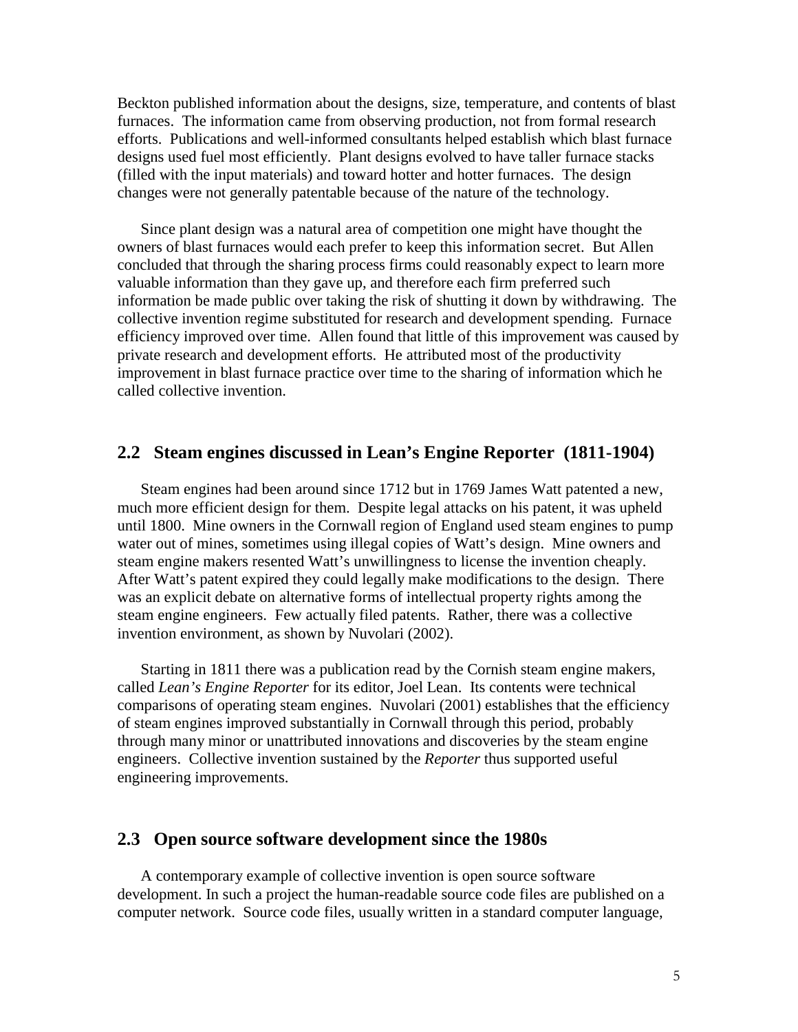Beckton published information about the designs, size, temperature, and contents of blast furnaces. The information came from observing production, not from formal research efforts. Publications and well-informed consultants helped establish which blast furnace designs used fuel most efficiently. Plant designs evolved to have taller furnace stacks (filled with the input materials) and toward hotter and hotter furnaces. The design changes were not generally patentable because of the nature of the technology.

Since plant design was a natural area of competition one might have thought the owners of blast furnaces would each prefer to keep this information secret. But Allen concluded that through the sharing process firms could reasonably expect to learn more valuable information than they gave up, and therefore each firm preferred such information be made public over taking the risk of shutting it down by withdrawing. The collective invention regime substituted for research and development spending. Furnace efficiency improved over time. Allen found that little of this improvement was caused by private research and development efforts. He attributed most of the productivity improvement in blast furnace practice over time to the sharing of information which he called collective invention.

## **2.2 Steam engines discussed in Lean's Engine Reporter (1811-1904)**

Steam engines had been around since 1712 but in 1769 James Watt patented a new, much more efficient design for them. Despite legal attacks on his patent, it was upheld until 1800. Mine owners in the Cornwall region of England used steam engines to pump water out of mines, sometimes using illegal copies of Watt's design. Mine owners and steam engine makers resented Watt's unwillingness to license the invention cheaply. After Watt's patent expired they could legally make modifications to the design. There was an explicit debate on alternative forms of intellectual property rights among the steam engine engineers. Few actually filed patents. Rather, there was a collective invention environment, as shown by Nuvolari (2002).

Starting in 1811 there was a publication read by the Cornish steam engine makers, called *Lean's Engine Reporter* for its editor, Joel Lean. Its contents were technical comparisons of operating steam engines. Nuvolari (2001) establishes that the efficiency of steam engines improved substantially in Cornwall through this period, probably through many minor or unattributed innovations and discoveries by the steam engine engineers. Collective invention sustained by the *Reporter* thus supported useful engineering improvements.

#### **2.3 Open source software development since the 1980s**

A contemporary example of collective invention is open source software development. In such a project the human-readable source code files are published on a computer network. Source code files, usually written in a standard computer language,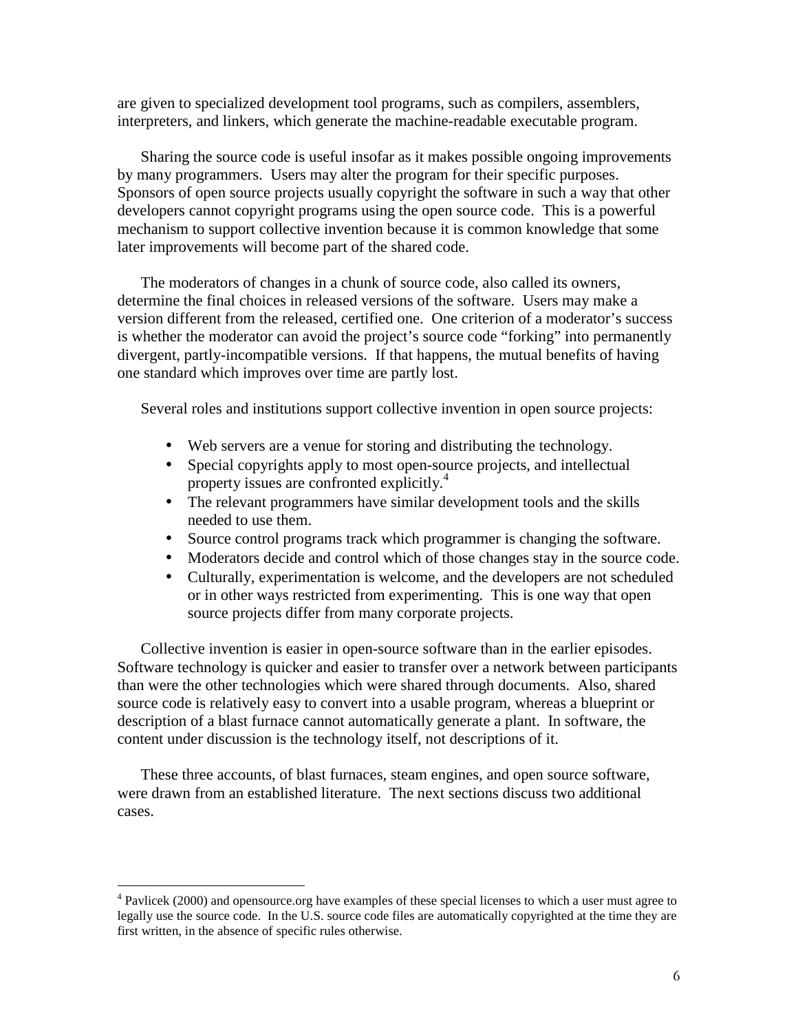are given to specialized development tool programs, such as compilers, assemblers, interpreters, and linkers, which generate the machine-readable executable program.

Sharing the source code is useful insofar as it makes possible ongoing improvements by many programmers. Users may alter the program for their specific purposes. Sponsors of open source projects usually copyright the software in such a way that other developers cannot copyright programs using the open source code. This is a powerful mechanism to support collective invention because it is common knowledge that some later improvements will become part of the shared code.

The moderators of changes in a chunk of source code, also called its owners, determine the final choices in released versions of the software. Users may make a version different from the released, certified one. One criterion of a moderator's success is whether the moderator can avoid the project's source code "forking" into permanently divergent, partly-incompatible versions. If that happens, the mutual benefits of having one standard which improves over time are partly lost.

Several roles and institutions support collective invention in open source projects:

- Web servers are a venue for storing and distributing the technology.
- Special copyrights apply to most open-source projects, and intellectual property issues are confronted explicitly.<sup>4</sup>
- The relevant programmers have similar development tools and the skills needed to use them.
- Source control programs track which programmer is changing the software.
- Moderators decide and control which of those changes stay in the source code.
- Culturally, experimentation is welcome, and the developers are not scheduled or in other ways restricted from experimenting. This is one way that open source projects differ from many corporate projects.

Collective invention is easier in open-source software than in the earlier episodes. Software technology is quicker and easier to transfer over a network between participants than were the other technologies which were shared through documents. Also, shared source code is relatively easy to convert into a usable program, whereas a blueprint or description of a blast furnace cannot automatically generate a plant. In software, the content under discussion is the technology itself, not descriptions of it.

These three accounts, of blast furnaces, steam engines, and open source software, were drawn from an established literature. The next sections discuss two additional cases.

------------------------------------------------

<sup>&</sup>lt;sup>4</sup> Pavlicek (2000) and opensource.org have examples of these special licenses to which a user must agree to legally use the source code. In the U.S. source code files are automatically copyrighted at the time they are first written, in the absence of specific rules otherwise.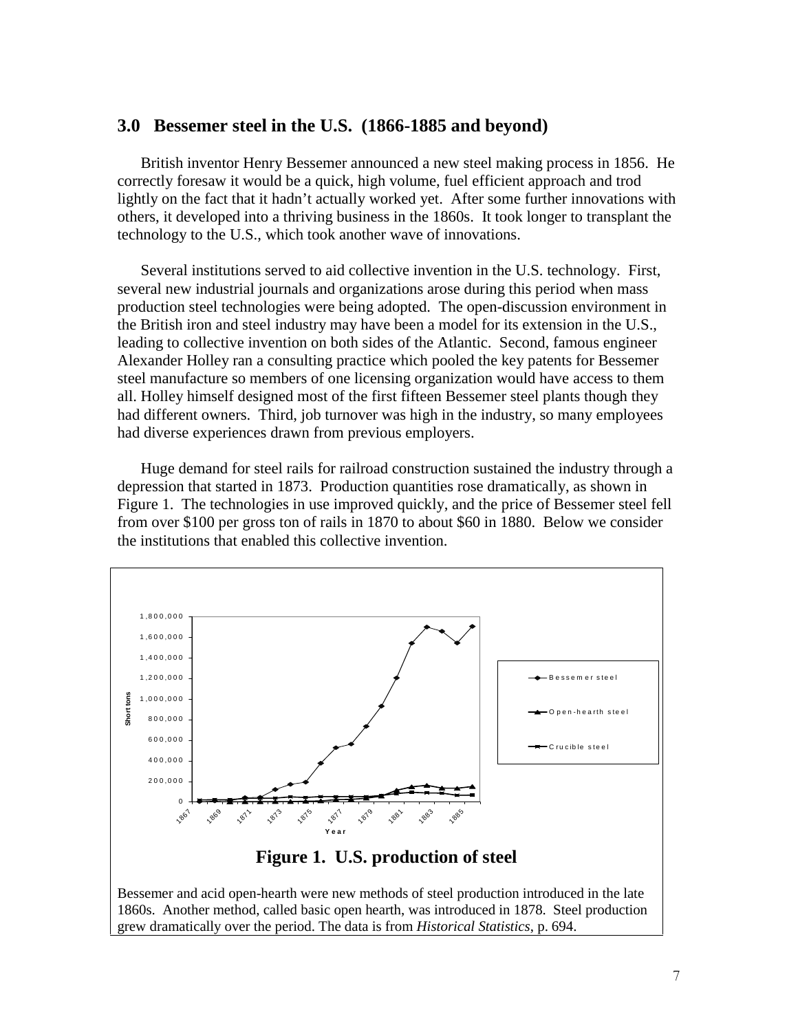#### **3.0 Bessemer steel in the U.S. (1866-1885 and beyond)**

British inventor Henry Bessemer announced a new steel making process in 1856. He correctly foresaw it would be a quick, high volume, fuel efficient approach and trod lightly on the fact that it hadn't actually worked yet. After some further innovations with others, it developed into a thriving business in the 1860s. It took longer to transplant the technology to the U.S., which took another wave of innovations.

Several institutions served to aid collective invention in the U.S. technology. First, several new industrial journals and organizations arose during this period when mass production steel technologies were being adopted. The open-discussion environment in the British iron and steel industry may have been a model for its extension in the U.S., leading to collective invention on both sides of the Atlantic. Second, famous engineer Alexander Holley ran a consulting practice which pooled the key patents for Bessemer steel manufacture so members of one licensing organization would have access to them all. Holley himself designed most of the first fifteen Bessemer steel plants though they had different owners. Third, job turnover was high in the industry, so many employees had diverse experiences drawn from previous employers.

Huge demand for steel rails for railroad construction sustained the industry through a depression that started in 1873. Production quantities rose dramatically, as shown in Figure 1. The technologies in use improved quickly, and the price of Bessemer steel fell from over \$100 per gross ton of rails in 1870 to about \$60 in 1880. Below we consider the institutions that enabled this collective invention.

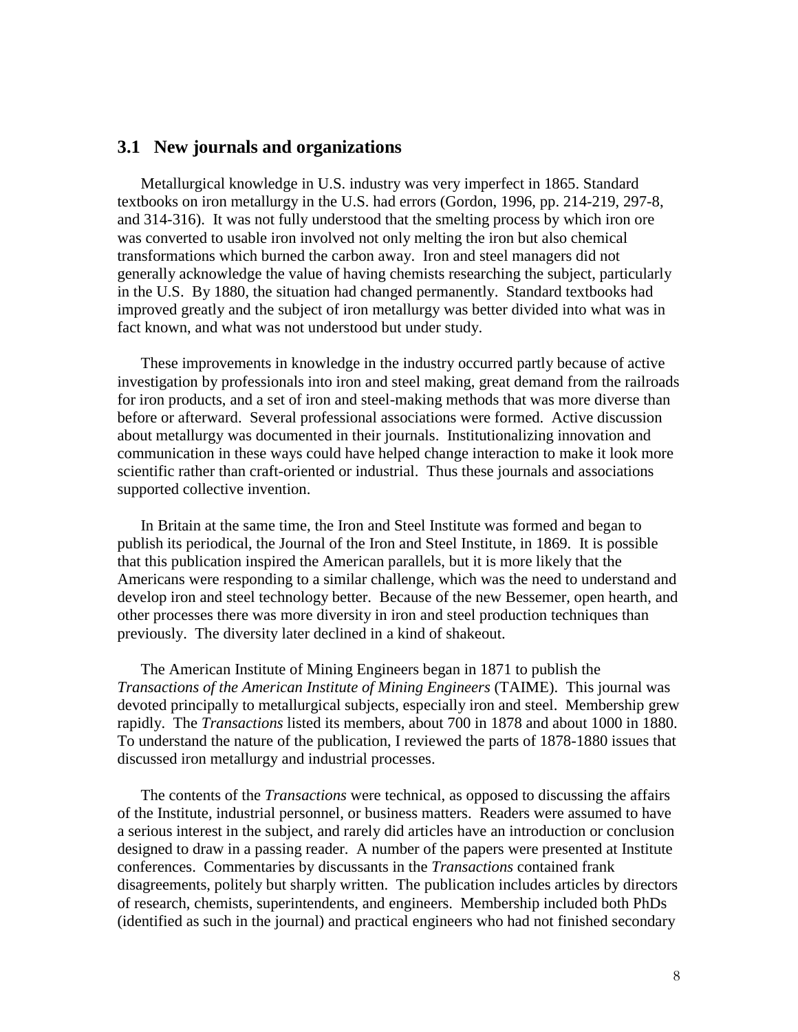# **3.1 New journals and organizations**

Metallurgical knowledge in U.S. industry was very imperfect in 1865. Standard textbooks on iron metallurgy in the U.S. had errors (Gordon, 1996, pp. 214-219, 297-8, and 314-316). It was not fully understood that the smelting process by which iron ore was converted to usable iron involved not only melting the iron but also chemical transformations which burned the carbon away. Iron and steel managers did not generally acknowledge the value of having chemists researching the subject, particularly in the U.S. By 1880, the situation had changed permanently. Standard textbooks had improved greatly and the subject of iron metallurgy was better divided into what was in fact known, and what was not understood but under study.

These improvements in knowledge in the industry occurred partly because of active investigation by professionals into iron and steel making, great demand from the railroads for iron products, and a set of iron and steel-making methods that was more diverse than before or afterward. Several professional associations were formed. Active discussion about metallurgy was documented in their journals. Institutionalizing innovation and communication in these ways could have helped change interaction to make it look more scientific rather than craft-oriented or industrial. Thus these journals and associations supported collective invention.

In Britain at the same time, the Iron and Steel Institute was formed and began to publish its periodical, the Journal of the Iron and Steel Institute, in 1869. It is possible that this publication inspired the American parallels, but it is more likely that the Americans were responding to a similar challenge, which was the need to understand and develop iron and steel technology better. Because of the new Bessemer, open hearth, and other processes there was more diversity in iron and steel production techniques than previously. The diversity later declined in a kind of shakeout.

The American Institute of Mining Engineers began in 1871 to publish the *Transactions of the American Institute of Mining Engineers* (TAIME). This journal was devoted principally to metallurgical subjects, especially iron and steel. Membership grew rapidly. The *Transactions* listed its members, about 700 in 1878 and about 1000 in 1880. To understand the nature of the publication, I reviewed the parts of 1878-1880 issues that discussed iron metallurgy and industrial processes.

The contents of the *Transactions* were technical, as opposed to discussing the affairs of the Institute, industrial personnel, or business matters. Readers were assumed to have a serious interest in the subject, and rarely did articles have an introduction or conclusion designed to draw in a passing reader. A number of the papers were presented at Institute conferences. Commentaries by discussants in the *Transactions* contained frank disagreements, politely but sharply written. The publication includes articles by directors of research, chemists, superintendents, and engineers. Membership included both PhDs (identified as such in the journal) and practical engineers who had not finished secondary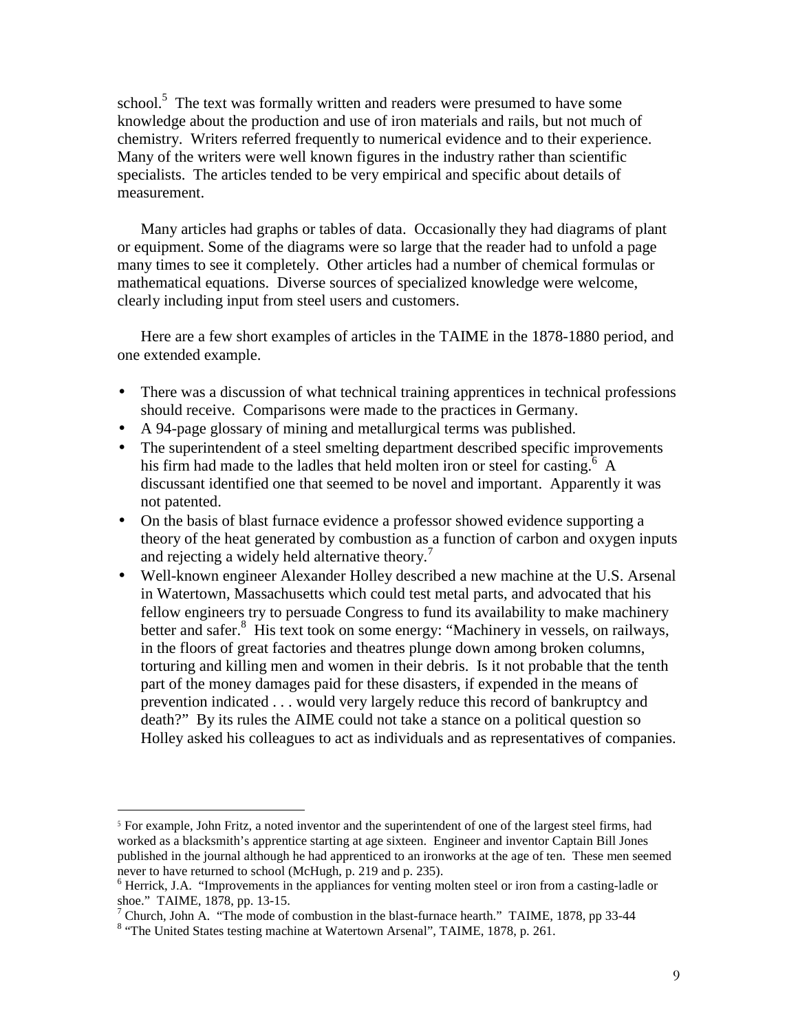school.<sup>5</sup> The text was formally written and readers were presumed to have some knowledge about the production and use of iron materials and rails, but not much of chemistry. Writers referred frequently to numerical evidence and to their experience. Many of the writers were well known figures in the industry rather than scientific specialists. The articles tended to be very empirical and specific about details of measurement.

Many articles had graphs or tables of data. Occasionally they had diagrams of plant or equipment. Some of the diagrams were so large that the reader had to unfold a page many times to see it completely. Other articles had a number of chemical formulas or mathematical equations. Diverse sources of specialized knowledge were welcome, clearly including input from steel users and customers.

Here are a few short examples of articles in the TAIME in the 1878-1880 period, and one extended example.

- There was a discussion of what technical training apprentices in technical professions should receive. Comparisons were made to the practices in Germany.
- A 94-page glossary of mining and metallurgical terms was published.
- The superintendent of a steel smelting department described specific improvements his firm had made to the ladles that held molten iron or steel for casting.<sup>6</sup> A discussant identified one that seemed to be novel and important. Apparently it was not patented.
- On the basis of blast furnace evidence a professor showed evidence supporting a theory of the heat generated by combustion as a function of carbon and oxygen inputs and rejecting a widely held alternative theory.<sup>7</sup>
- Well-known engineer Alexander Holley described a new machine at the U.S. Arsenal in Watertown, Massachusetts which could test metal parts, and advocated that his fellow engineers try to persuade Congress to fund its availability to make machinery better and safer.<sup>8</sup> His text took on some energy: "Machinery in vessels, on railways, in the floors of great factories and theatres plunge down among broken columns, torturing and killing men and women in their debris. Is it not probable that the tenth part of the money damages paid for these disasters, if expended in the means of prevention indicated . . . would very largely reduce this record of bankruptcy and death?" By its rules the AIME could not take a stance on a political question so Holley asked his colleagues to act as individuals and as representatives of companies.

------------------------------------------------

<sup>&</sup>lt;sup>5</sup> For example, John Fritz, a noted inventor and the superintendent of one of the largest steel firms, had worked as a blacksmith's apprentice starting at age sixteen. Engineer and inventor Captain Bill Jones published in the journal although he had apprenticed to an ironworks at the age of ten. These men seemed never to have returned to school (McHugh, p. 219 and p. 235).

<sup>&</sup>lt;sup>6</sup> Herrick, J.A. "Improvements in the appliances for venting molten steel or iron from a casting-ladle or shoe." TAIME, 1878, pp. 13-15.<br><sup>7</sup> Church, John A. "The mode of combustion in the blast-furnace hearth." TAIME, 1878, pp 33-44

<sup>&</sup>lt;sup>8</sup> "The United States testing machine at Watertown Arsenal", TAIME, 1878, p. 261.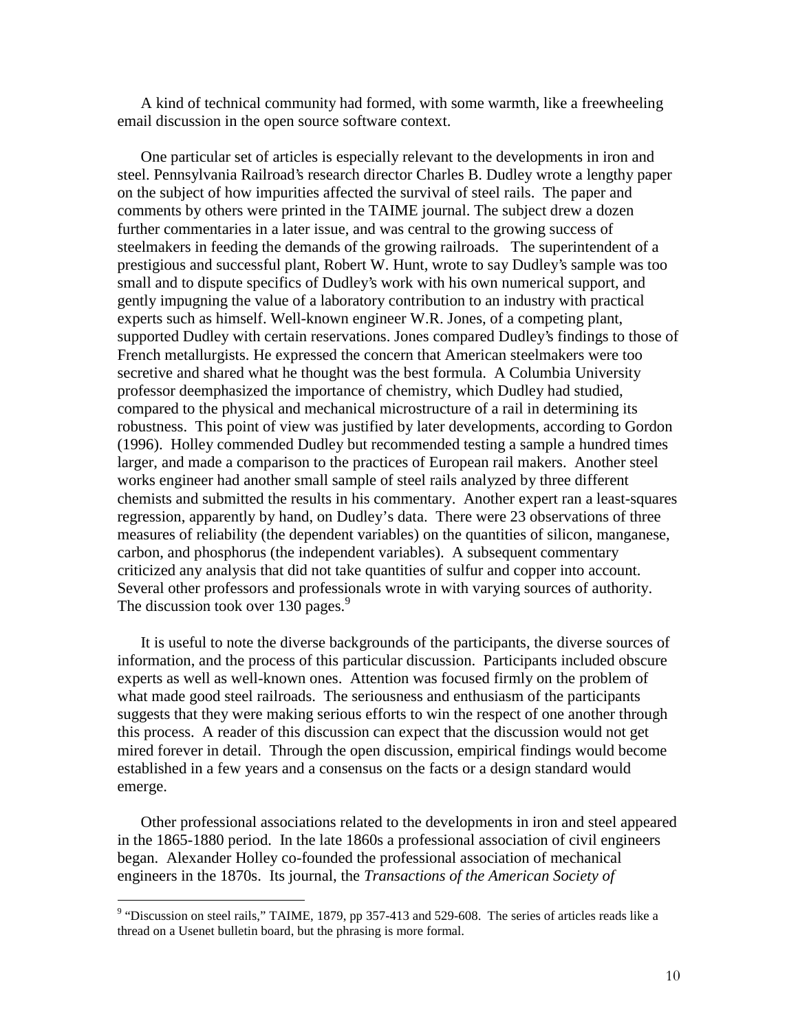A kind of technical community had formed, with some warmth, like a freewheeling email discussion in the open source software context.

One particular set of articles is especially relevant to the developments in iron and steel. Pennsylvania Railroad's research director Charles B. Dudley wrote a lengthy paper on the subject of how impurities affected the survival of steel rails. The paper and comments by others were printed in the TAIME journal. The subject drew a dozen further commentaries in a later issue, and was central to the growing success of steelmakers in feeding the demands of the growing railroads. The superintendent of a prestigious and successful plant, Robert W. Hunt, wrote to say Dudley's sample was too small and to dispute specifics of Dudley's work with his own numerical support, and gently impugning the value of a laboratory contribution to an industry with practical experts such as himself. Well-known engineer W.R. Jones, of a competing plant, supported Dudley with certain reservations. Jones compared Dudley's findings to those of French metallurgists. He expressed the concern that American steelmakers were too secretive and shared what he thought was the best formula. A Columbia University professor deemphasized the importance of chemistry, which Dudley had studied, compared to the physical and mechanical microstructure of a rail in determining its robustness. This point of view was justified by later developments, according to Gordon (1996). Holley commended Dudley but recommended testing a sample a hundred times larger, and made a comparison to the practices of European rail makers. Another steel works engineer had another small sample of steel rails analyzed by three different chemists and submitted the results in his commentary. Another expert ran a least-squares regression, apparently by hand, on Dudley's data. There were 23 observations of three measures of reliability (the dependent variables) on the quantities of silicon, manganese, carbon, and phosphorus (the independent variables). A subsequent commentary criticized any analysis that did not take quantities of sulfur and copper into account. Several other professors and professionals wrote in with varying sources of authority. The discussion took over 130 pages.<sup>9</sup>

It is useful to note the diverse backgrounds of the participants, the diverse sources of information, and the process of this particular discussion. Participants included obscure experts as well as well-known ones. Attention was focused firmly on the problem of what made good steel railroads. The seriousness and enthusiasm of the participants suggests that they were making serious efforts to win the respect of one another through this process. A reader of this discussion can expect that the discussion would not get mired forever in detail. Through the open discussion, empirical findings would become established in a few years and a consensus on the facts or a design standard would emerge.

Other professional associations related to the developments in iron and steel appeared in the 1865-1880 period. In the late 1860s a professional association of civil engineers began. Alexander Holley co-founded the professional association of mechanical engineers in the 1870s. Its journal, the *Transactions of the American Society of* 

<sup>&</sup>lt;sup>9</sup> "Discussion on steel rails," TAIME, 1879, pp 357-413 and 529-608. The series of articles reads like a thread on a Usenet bulletin board, but the phrasing is more formal.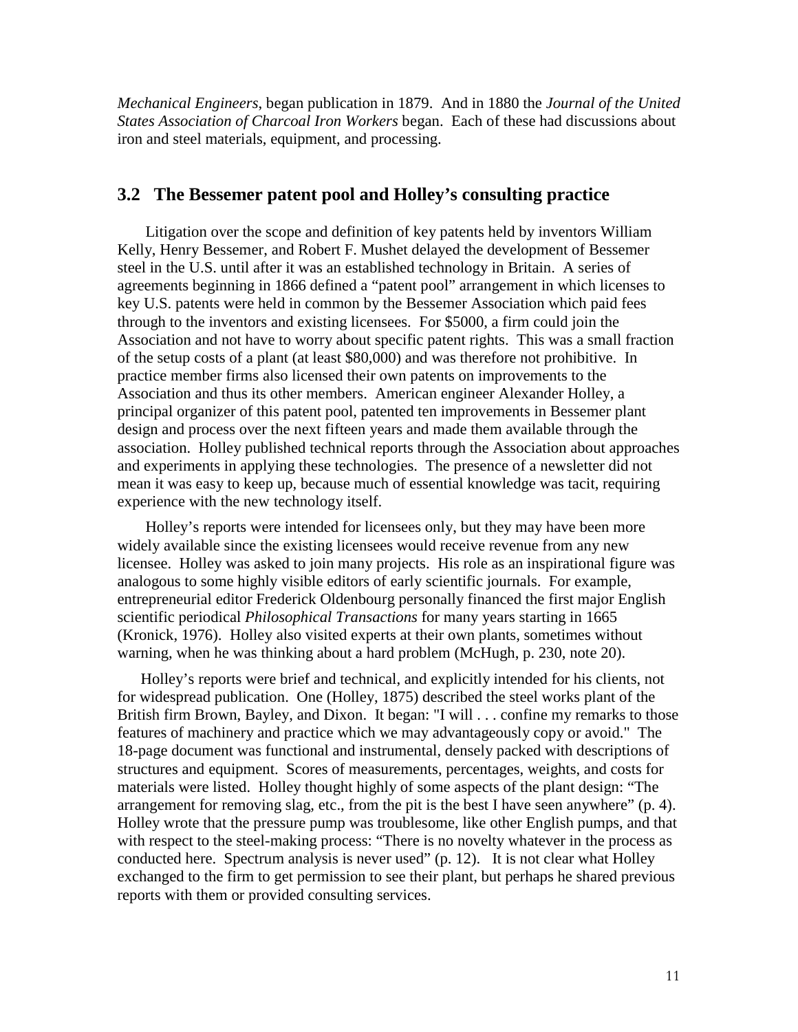*Mechanical Engineers*, began publication in 1879. And in 1880 the *Journal of the United States Association of Charcoal Iron Workers* began. Each of these had discussions about iron and steel materials, equipment, and processing.

# **3.2 The Bessemer patent pool and Holley's consulting practice**

Litigation over the scope and definition of key patents held by inventors William Kelly, Henry Bessemer, and Robert F. Mushet delayed the development of Bessemer steel in the U.S. until after it was an established technology in Britain. A series of agreements beginning in 1866 defined a "patent pool" arrangement in which licenses to key U.S. patents were held in common by the Bessemer Association which paid fees through to the inventors and existing licensees. For \$5000, a firm could join the Association and not have to worry about specific patent rights. This was a small fraction of the setup costs of a plant (at least \$80,000) and was therefore not prohibitive. In practice member firms also licensed their own patents on improvements to the Association and thus its other members. American engineer Alexander Holley, a principal organizer of this patent pool, patented ten improvements in Bessemer plant design and process over the next fifteen years and made them available through the association. Holley published technical reports through the Association about approaches and experiments in applying these technologies. The presence of a newsletter did not mean it was easy to keep up, because much of essential knowledge was tacit, requiring experience with the new technology itself.

Holley's reports were intended for licensees only, but they may have been more widely available since the existing licensees would receive revenue from any new licensee. Holley was asked to join many projects. His role as an inspirational figure was analogous to some highly visible editors of early scientific journals. For example, entrepreneurial editor Frederick Oldenbourg personally financed the first major English scientific periodical *Philosophical Transactions* for many years starting in 1665 (Kronick, 1976). Holley also visited experts at their own plants, sometimes without warning, when he was thinking about a hard problem (McHugh, p. 230, note 20).

Holley's reports were brief and technical, and explicitly intended for his clients, not for widespread publication. One (Holley, 1875) described the steel works plant of the British firm Brown, Bayley, and Dixon. It began: "I will . . . confine my remarks to those features of machinery and practice which we may advantageously copy or avoid." The 18-page document was functional and instrumental, densely packed with descriptions of structures and equipment. Scores of measurements, percentages, weights, and costs for materials were listed. Holley thought highly of some aspects of the plant design: "The arrangement for removing slag, etc., from the pit is the best I have seen anywhere" (p. 4). Holley wrote that the pressure pump was troublesome, like other English pumps, and that with respect to the steel-making process: "There is no novelty whatever in the process as conducted here. Spectrum analysis is never used" (p. 12). It is not clear what Holley exchanged to the firm to get permission to see their plant, but perhaps he shared previous reports with them or provided consulting services.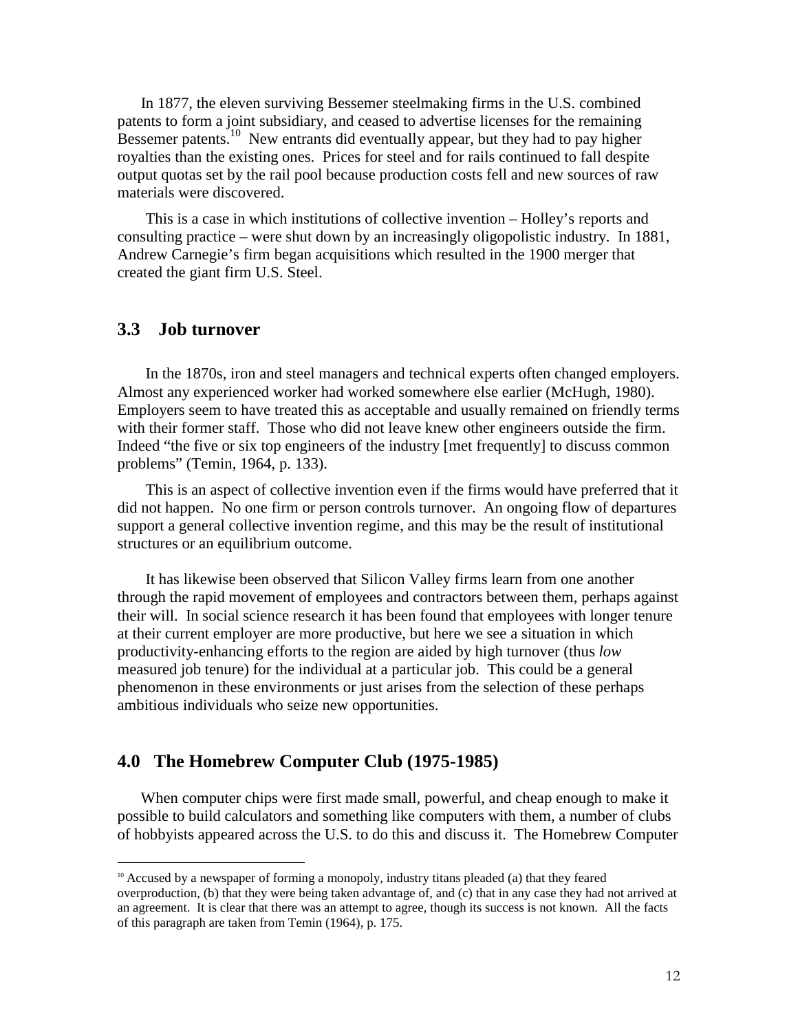In 1877, the eleven surviving Bessemer steelmaking firms in the U.S. combined patents to form a joint subsidiary, and ceased to advertise licenses for the remaining Bessemer patents.<sup>10</sup> New entrants did eventually appear, but they had to pay higher royalties than the existing ones. Prices for steel and for rails continued to fall despite output quotas set by the rail pool because production costs fell and new sources of raw materials were discovered.

This is a case in which institutions of collective invention – Holley's reports and consulting practice – were shut down by an increasingly oligopolistic industry. In 1881, Andrew Carnegie's firm began acquisitions which resulted in the 1900 merger that created the giant firm U.S. Steel.

#### **3.3 Job turnover**

------------------------------------------------

In the 1870s, iron and steel managers and technical experts often changed employers. Almost any experienced worker had worked somewhere else earlier (McHugh, 1980). Employers seem to have treated this as acceptable and usually remained on friendly terms with their former staff. Those who did not leave knew other engineers outside the firm. Indeed "the five or six top engineers of the industry [met frequently] to discuss common problems" (Temin, 1964, p. 133).

This is an aspect of collective invention even if the firms would have preferred that it did not happen. No one firm or person controls turnover. An ongoing flow of departures support a general collective invention regime, and this may be the result of institutional structures or an equilibrium outcome.

It has likewise been observed that Silicon Valley firms learn from one another through the rapid movement of employees and contractors between them, perhaps against their will. In social science research it has been found that employees with longer tenure at their current employer are more productive, but here we see a situation in which productivity-enhancing efforts to the region are aided by high turnover (thus *low* measured job tenure) for the individual at a particular job. This could be a general phenomenon in these environments or just arises from the selection of these perhaps ambitious individuals who seize new opportunities.

# **4.0 The Homebrew Computer Club (1975-1985)**

When computer chips were first made small, powerful, and cheap enough to make it possible to build calculators and something like computers with them, a number of clubs of hobbyists appeared across the U.S. to do this and discuss it. The Homebrew Computer

 $10$  Accused by a newspaper of forming a monopoly, industry titans pleaded (a) that they feared overproduction, (b) that they were being taken advantage of, and (c) that in any case they had not arrived at an agreement. It is clear that there was an attempt to agree, though its success is not known. All the facts of this paragraph are taken from Temin (1964), p. 175.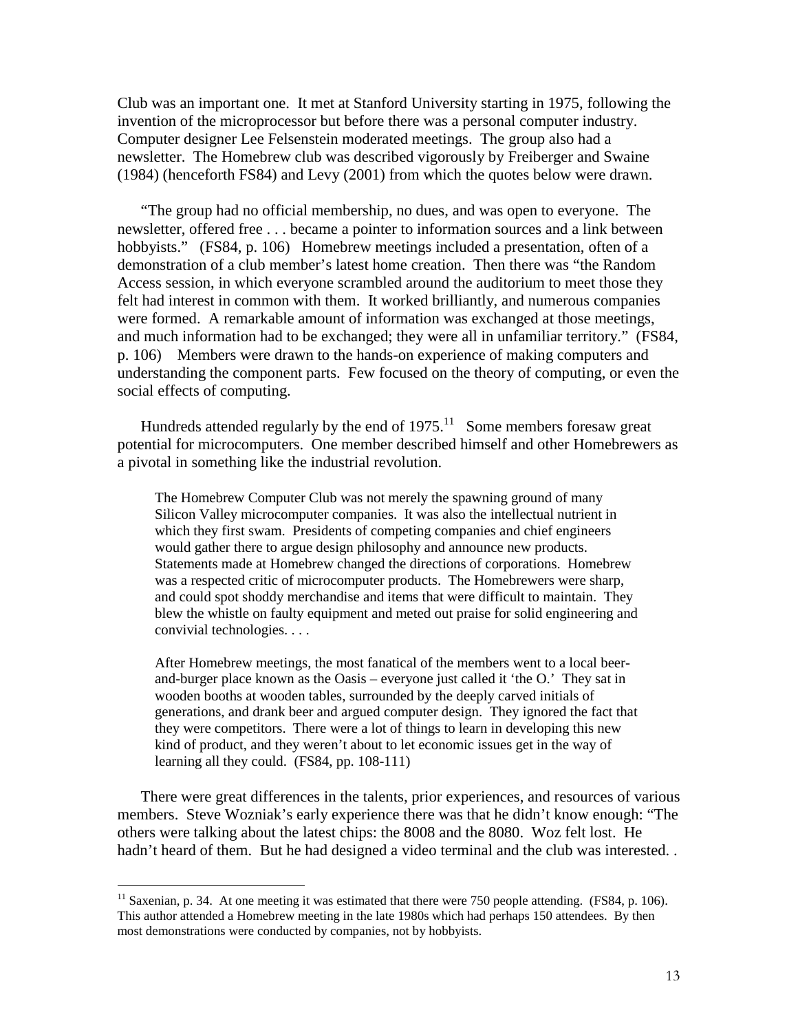Club was an important one. It met at Stanford University starting in 1975, following the invention of the microprocessor but before there was a personal computer industry. Computer designer Lee Felsenstein moderated meetings. The group also had a newsletter. The Homebrew club was described vigorously by Freiberger and Swaine (1984) (henceforth FS84) and Levy (2001) from which the quotes below were drawn.

"The group had no official membership, no dues, and was open to everyone. The newsletter, offered free . . . became a pointer to information sources and a link between hobbyists." (FS84, p. 106) Homebrew meetings included a presentation, often of a demonstration of a club member's latest home creation. Then there was "the Random Access session, in which everyone scrambled around the auditorium to meet those they felt had interest in common with them. It worked brilliantly, and numerous companies were formed. A remarkable amount of information was exchanged at those meetings, and much information had to be exchanged; they were all in unfamiliar territory." (FS84, p. 106) Members were drawn to the hands-on experience of making computers and understanding the component parts. Few focused on the theory of computing, or even the social effects of computing.

Hundreds attended regularly by the end of  $1975$ .<sup>11</sup> Some members foresaw great potential for microcomputers. One member described himself and other Homebrewers as a pivotal in something like the industrial revolution.

The Homebrew Computer Club was not merely the spawning ground of many Silicon Valley microcomputer companies. It was also the intellectual nutrient in which they first swam. Presidents of competing companies and chief engineers would gather there to argue design philosophy and announce new products. Statements made at Homebrew changed the directions of corporations. Homebrew was a respected critic of microcomputer products. The Homebrewers were sharp, and could spot shoddy merchandise and items that were difficult to maintain. They blew the whistle on faulty equipment and meted out praise for solid engineering and convivial technologies. . . .

After Homebrew meetings, the most fanatical of the members went to a local beerand-burger place known as the Oasis – everyone just called it 'the O.' They sat in wooden booths at wooden tables, surrounded by the deeply carved initials of generations, and drank beer and argued computer design. They ignored the fact that they were competitors. There were a lot of things to learn in developing this new kind of product, and they weren't about to let economic issues get in the way of learning all they could. (FS84, pp. 108-111)

There were great differences in the talents, prior experiences, and resources of various members. Steve Wozniak's early experience there was that he didn't know enough: "The others were talking about the latest chips: the 8008 and the 8080. Woz felt lost. He hadn't heard of them. But he had designed a video terminal and the club was interested..

------------------------------------------------

 $11$  Saxenian, p. 34. At one meeting it was estimated that there were 750 people attending. (FS84, p. 106). This author attended a Homebrew meeting in the late 1980s which had perhaps 150 attendees. By then most demonstrations were conducted by companies, not by hobbyists.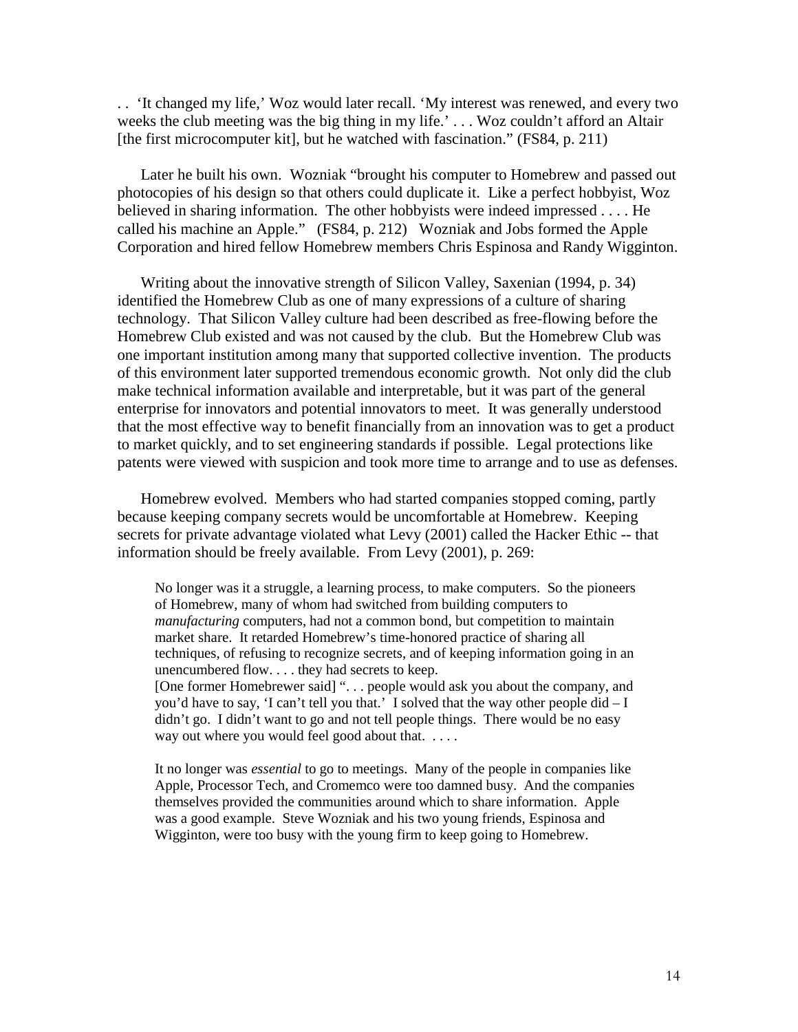. . 'It changed my life,' Woz would later recall. 'My interest was renewed, and every two weeks the club meeting was the big thing in my life.' . . . Woz couldn't afford an Altair [the first microcomputer kit], but he watched with fascination." (FS84, p. 211)

Later he built his own. Wozniak "brought his computer to Homebrew and passed out photocopies of his design so that others could duplicate it. Like a perfect hobbyist, Woz believed in sharing information. The other hobbyists were indeed impressed . . . . He called his machine an Apple." (FS84, p. 212) Wozniak and Jobs formed the Apple Corporation and hired fellow Homebrew members Chris Espinosa and Randy Wigginton.

Writing about the innovative strength of Silicon Valley, Saxenian (1994, p. 34) identified the Homebrew Club as one of many expressions of a culture of sharing technology. That Silicon Valley culture had been described as free-flowing before the Homebrew Club existed and was not caused by the club. But the Homebrew Club was one important institution among many that supported collective invention. The products of this environment later supported tremendous economic growth. Not only did the club make technical information available and interpretable, but it was part of the general enterprise for innovators and potential innovators to meet. It was generally understood that the most effective way to benefit financially from an innovation was to get a product to market quickly, and to set engineering standards if possible. Legal protections like patents were viewed with suspicion and took more time to arrange and to use as defenses.

Homebrew evolved. Members who had started companies stopped coming, partly because keeping company secrets would be uncomfortable at Homebrew. Keeping secrets for private advantage violated what Levy (2001) called the Hacker Ethic -- that information should be freely available. From Levy (2001), p. 269:

No longer was it a struggle, a learning process, to make computers. So the pioneers of Homebrew, many of whom had switched from building computers to *manufacturing* computers, had not a common bond, but competition to maintain market share. It retarded Homebrew's time-honored practice of sharing all techniques, of refusing to recognize secrets, and of keeping information going in an unencumbered flow. . . . they had secrets to keep. [One former Homebrewer said] ". . . people would ask you about the company, and you'd have to say, 'I can't tell you that.' I solved that the way other people did  $-I$ didn't go. I didn't want to go and not tell people things. There would be no easy way out where you would feel good about that. . . . .

It no longer was *essential* to go to meetings. Many of the people in companies like Apple, Processor Tech, and Cromemco were too damned busy. And the companies themselves provided the communities around which to share information. Apple was a good example. Steve Wozniak and his two young friends, Espinosa and Wigginton, were too busy with the young firm to keep going to Homebrew.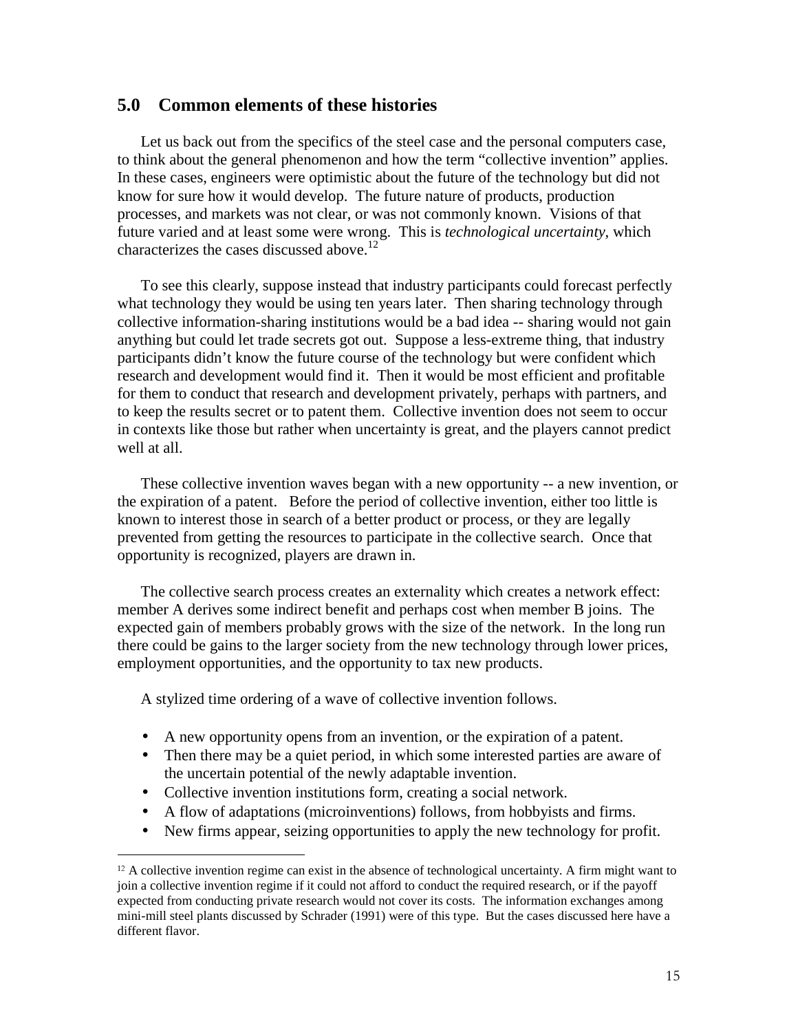## **5.0 Common elements of these histories**

Let us back out from the specifics of the steel case and the personal computers case, to think about the general phenomenon and how the term "collective invention" applies. In these cases, engineers were optimistic about the future of the technology but did not know for sure how it would develop. The future nature of products, production processes, and markets was not clear, or was not commonly known. Visions of that future varied and at least some were wrong. This is *technological uncertainty*, which characterizes the cases discussed above.<sup>12</sup>

To see this clearly, suppose instead that industry participants could forecast perfectly what technology they would be using ten years later. Then sharing technology through collective information-sharing institutions would be a bad idea -- sharing would not gain anything but could let trade secrets got out. Suppose a less-extreme thing, that industry participants didn't know the future course of the technology but were confident which research and development would find it. Then it would be most efficient and profitable for them to conduct that research and development privately, perhaps with partners, and to keep the results secret or to patent them. Collective invention does not seem to occur in contexts like those but rather when uncertainty is great, and the players cannot predict well at all.

These collective invention waves began with a new opportunity -- a new invention, or the expiration of a patent. Before the period of collective invention, either too little is known to interest those in search of a better product or process, or they are legally prevented from getting the resources to participate in the collective search. Once that opportunity is recognized, players are drawn in.

The collective search process creates an externality which creates a network effect: member A derives some indirect benefit and perhaps cost when member B joins. The expected gain of members probably grows with the size of the network. In the long run there could be gains to the larger society from the new technology through lower prices, employment opportunities, and the opportunity to tax new products.

A stylized time ordering of a wave of collective invention follows.

- A new opportunity opens from an invention, or the expiration of a patent.
- Then there may be a quiet period, in which some interested parties are aware of the uncertain potential of the newly adaptable invention.
- Collective invention institutions form, creating a social network.

------------------------------------------------

- A flow of adaptations (microinventions) follows, from hobbyists and firms.
- New firms appear, seizing opportunities to apply the new technology for profit.

<sup>&</sup>lt;sup>12</sup> A collective invention regime can exist in the absence of technological uncertainty. A firm might want to join a collective invention regime if it could not afford to conduct the required research, or if the payoff expected from conducting private research would not cover its costs. The information exchanges among mini-mill steel plants discussed by Schrader (1991) were of this type. But the cases discussed here have a different flavor.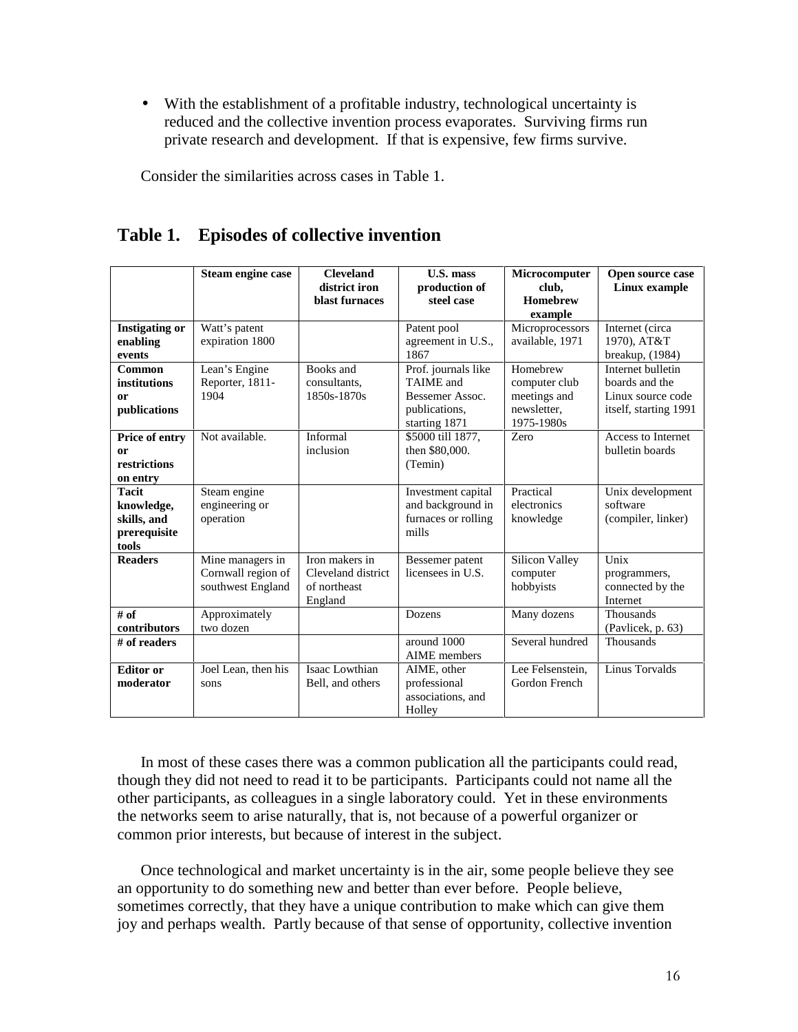• With the establishment of a profitable industry, technological uncertainty is reduced and the collective invention process evaporates. Surviving firms run private research and development. If that is expensive, few firms survive.

Consider the similarities across cases in Table 1.

|                       | Steam engine case   | <b>Cleveland</b><br>district iron | <b>U.S. mass</b>                   | Microcomputer             | Open source case      |
|-----------------------|---------------------|-----------------------------------|------------------------------------|---------------------------|-----------------------|
|                       |                     | blast furnaces                    | production of<br>steel case        | club,<br><b>Homebrew</b>  | Linux example         |
|                       |                     |                                   |                                    | example                   |                       |
| <b>Instigating or</b> | Watt's patent       |                                   | Patent pool                        | Microprocessors           | Internet (circa       |
| enabling              | expiration 1800     |                                   | agreement in U.S.,                 | available, 1971           | 1970), AT&T           |
| events                |                     |                                   | 1867                               |                           | breakup, (1984)       |
| Common                | Lean's Engine       | Books and                         | Prof. journals like                | Homebrew                  | Internet bulletin     |
| institutions          | Reporter, 1811-     | consultants.                      | <b>TAIME</b> and                   | computer club             | boards and the        |
| or                    | 1904                | 1850s-1870s                       | Bessemer Assoc.                    | meetings and              | Linux source code     |
| publications          |                     |                                   | publications,                      | newsletter,<br>1975-1980s | itself, starting 1991 |
|                       | Not available.      | Informal                          | starting 1871<br>\$5000 till 1877, | Zero                      | Access to Internet    |
| Price of entry        |                     | inclusion                         | then \$80,000.                     |                           | bulletin boards       |
| or<br>restrictions    |                     |                                   |                                    |                           |                       |
| on entry              |                     |                                   | (Temin)                            |                           |                       |
| <b>Tacit</b>          | Steam engine        |                                   | Investment capital                 | Practical                 | Unix development      |
| knowledge,            | engineering or      |                                   | and background in                  | electronics               | software              |
| skills, and           | operation           |                                   |                                    | knowledge                 |                       |
| prerequisite          |                     |                                   | furnaces or rolling<br>mills       |                           | (compiler, linker)    |
| tools                 |                     |                                   |                                    |                           |                       |
| <b>Readers</b>        | Mine managers in    | Iron makers in                    | Bessemer patent                    | Silicon Valley            | Unix                  |
|                       | Cornwall region of  | Cleveland district                | licensees in U.S.                  | computer                  | programmers,          |
|                       | southwest England   | of northeast                      |                                    | hobbyists                 | connected by the      |
|                       |                     | England                           |                                    |                           | Internet              |
| # of                  | Approximately       |                                   | Dozens                             | Many dozens               | Thousands             |
| contributors          | two dozen           |                                   |                                    |                           | (Pavlicek, p. 63)     |
| # of readers          |                     |                                   | around 1000                        | Several hundred           | <b>Thousands</b>      |
|                       |                     |                                   | <b>AIME</b> members                |                           |                       |
| <b>Editor</b> or      | Joel Lean, then his | Isaac Lowthian                    | AIME, other                        | Lee Felsenstein,          | Linus Torvalds        |
| moderator             | sons                | Bell, and others                  | professional                       | Gordon French             |                       |
|                       |                     |                                   | associations, and                  |                           |                       |
|                       |                     |                                   | Holley                             |                           |                       |

# **Table 1. Episodes of collective invention**

In most of these cases there was a common publication all the participants could read, though they did not need to read it to be participants. Participants could not name all the other participants, as colleagues in a single laboratory could. Yet in these environments the networks seem to arise naturally, that is, not because of a powerful organizer or common prior interests, but because of interest in the subject.

Once technological and market uncertainty is in the air, some people believe they see an opportunity to do something new and better than ever before. People believe, sometimes correctly, that they have a unique contribution to make which can give them joy and perhaps wealth. Partly because of that sense of opportunity, collective invention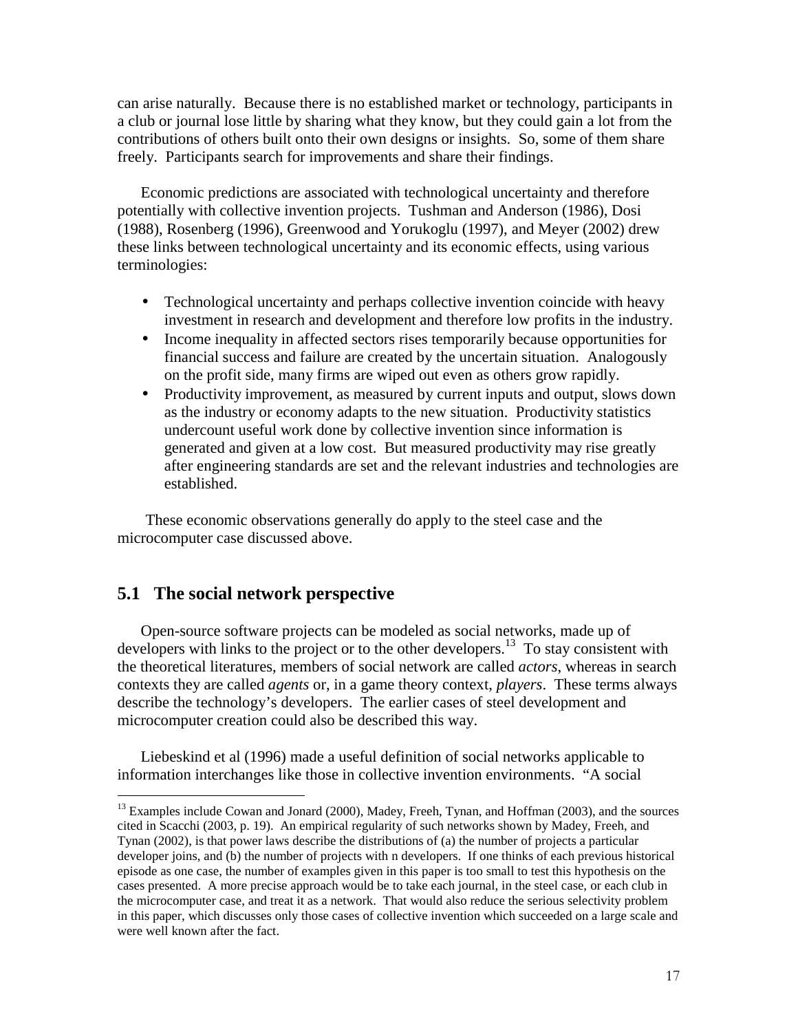can arise naturally. Because there is no established market or technology, participants in a club or journal lose little by sharing what they know, but they could gain a lot from the contributions of others built onto their own designs or insights. So, some of them share freely. Participants search for improvements and share their findings.

Economic predictions are associated with technological uncertainty and therefore potentially with collective invention projects. Tushman and Anderson (1986), Dosi (1988), Rosenberg (1996), Greenwood and Yorukoglu (1997), and Meyer (2002) drew these links between technological uncertainty and its economic effects, using various terminologies:

- Technological uncertainty and perhaps collective invention coincide with heavy investment in research and development and therefore low profits in the industry.
- Income inequality in affected sectors rises temporarily because opportunities for financial success and failure are created by the uncertain situation. Analogously on the profit side, many firms are wiped out even as others grow rapidly.
- Productivity improvement, as measured by current inputs and output, slows down as the industry or economy adapts to the new situation. Productivity statistics undercount useful work done by collective invention since information is generated and given at a low cost. But measured productivity may rise greatly after engineering standards are set and the relevant industries and technologies are established.

These economic observations generally do apply to the steel case and the microcomputer case discussed above.

# **5.1 The social network perspective**

------------------------------------------------

Open-source software projects can be modeled as social networks, made up of developers with links to the project or to the other developers.<sup>13</sup> To stay consistent with the theoretical literatures, members of social network are called *actors*, whereas in search contexts they are called *agents* or, in a game theory context, *players*. These terms always describe the technology's developers. The earlier cases of steel development and microcomputer creation could also be described this way.

Liebeskind et al (1996) made a useful definition of social networks applicable to information interchanges like those in collective invention environments. "A social

<sup>&</sup>lt;sup>13</sup> Examples include Cowan and Jonard (2000), Madey, Freeh, Tynan, and Hoffman (2003), and the sources cited in Scacchi (2003, p. 19). An empirical regularity of such networks shown by Madey, Freeh, and Tynan (2002), is that power laws describe the distributions of (a) the number of projects a particular developer joins, and (b) the number of projects with n developers. If one thinks of each previous historical episode as one case, the number of examples given in this paper is too small to test this hypothesis on the cases presented. A more precise approach would be to take each journal, in the steel case, or each club in the microcomputer case, and treat it as a network. That would also reduce the serious selectivity problem in this paper, which discusses only those cases of collective invention which succeeded on a large scale and were well known after the fact.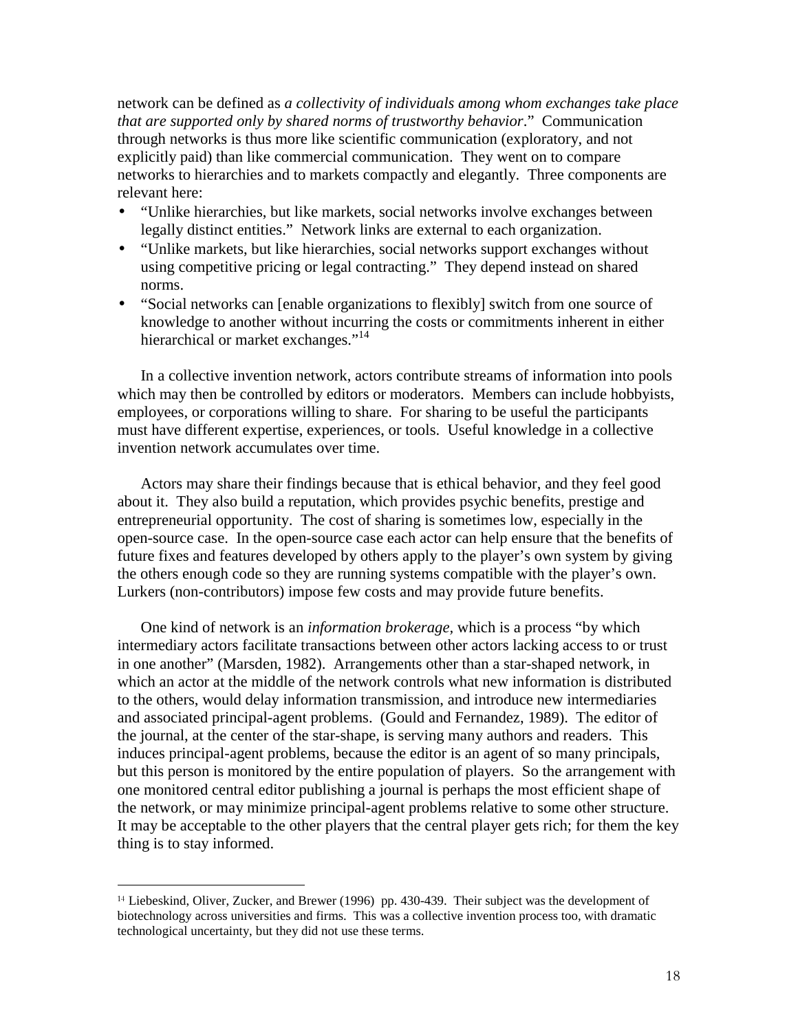network can be defined as *a collectivity of individuals among whom exchanges take place that are supported only by shared norms of trustworthy behavior*." Communication through networks is thus more like scientific communication (exploratory, and not explicitly paid) than like commercial communication. They went on to compare networks to hierarchies and to markets compactly and elegantly. Three components are relevant here:

- "Unlike hierarchies, but like markets, social networks involve exchanges between legally distinct entities." Network links are external to each organization.
- "Unlike markets, but like hierarchies, social networks support exchanges without using competitive pricing or legal contracting." They depend instead on shared norms.
- "Social networks can [enable organizations to flexibly] switch from one source of knowledge to another without incurring the costs or commitments inherent in either hierarchical or market exchanges."<sup>14</sup>

In a collective invention network, actors contribute streams of information into pools which may then be controlled by editors or moderators. Members can include hobbyists, employees, or corporations willing to share. For sharing to be useful the participants must have different expertise, experiences, or tools. Useful knowledge in a collective invention network accumulates over time.

Actors may share their findings because that is ethical behavior, and they feel good about it. They also build a reputation, which provides psychic benefits, prestige and entrepreneurial opportunity. The cost of sharing is sometimes low, especially in the open-source case. In the open-source case each actor can help ensure that the benefits of future fixes and features developed by others apply to the player's own system by giving the others enough code so they are running systems compatible with the player's own. Lurkers (non-contributors) impose few costs and may provide future benefits.

One kind of network is an *information brokerage,* which is a process "by which intermediary actors facilitate transactions between other actors lacking access to or trust in one another" (Marsden, 1982). Arrangements other than a star-shaped network, in which an actor at the middle of the network controls what new information is distributed to the others, would delay information transmission, and introduce new intermediaries and associated principal-agent problems. (Gould and Fernandez, 1989). The editor of the journal, at the center of the star-shape, is serving many authors and readers. This induces principal-agent problems, because the editor is an agent of so many principals, but this person is monitored by the entire population of players. So the arrangement with one monitored central editor publishing a journal is perhaps the most efficient shape of the network, or may minimize principal-agent problems relative to some other structure. It may be acceptable to the other players that the central player gets rich; for them the key thing is to stay informed.

------------------------------------------------

<sup>&</sup>lt;sup>14</sup> Liebeskind, Oliver, Zucker, and Brewer (1996) pp. 430-439. Their subject was the development of biotechnology across universities and firms. This was a collective invention process too, with dramatic technological uncertainty, but they did not use these terms.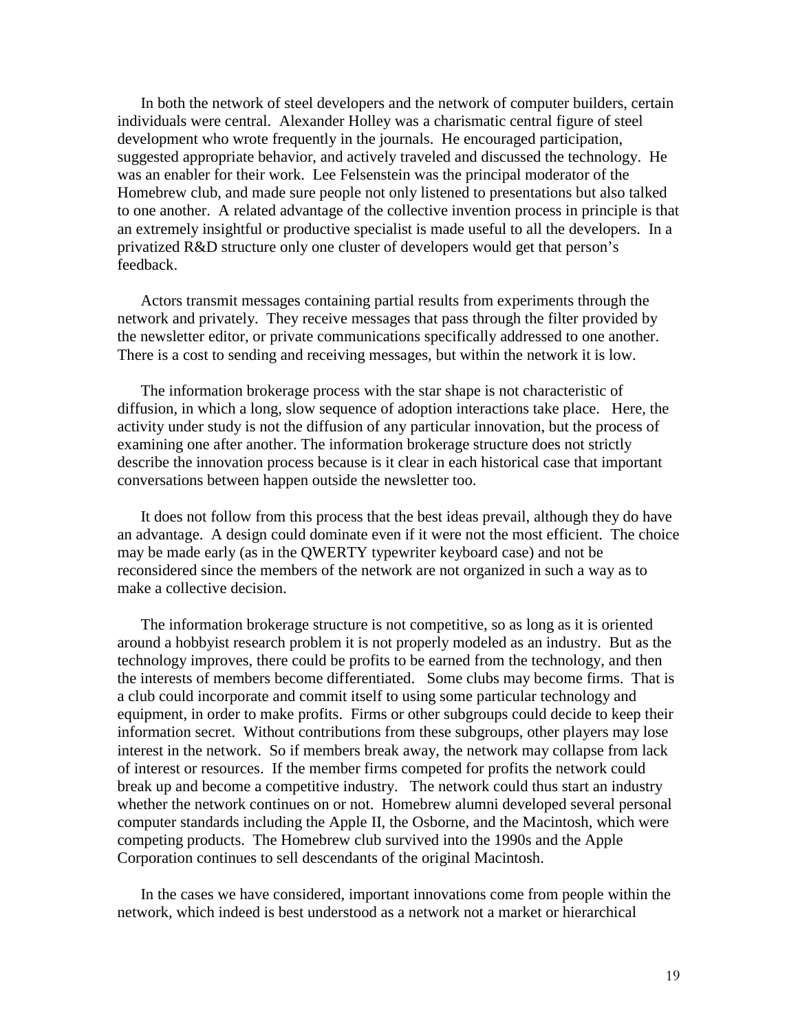In both the network of steel developers and the network of computer builders, certain individuals were central. Alexander Holley was a charismatic central figure of steel development who wrote frequently in the journals. He encouraged participation, suggested appropriate behavior, and actively traveled and discussed the technology. He was an enabler for their work. Lee Felsenstein was the principal moderator of the Homebrew club, and made sure people not only listened to presentations but also talked to one another. A related advantage of the collective invention process in principle is that an extremely insightful or productive specialist is made useful to all the developers. In a privatized R&D structure only one cluster of developers would get that person's feedback.

Actors transmit messages containing partial results from experiments through the network and privately. They receive messages that pass through the filter provided by the newsletter editor, or private communications specifically addressed to one another. There is a cost to sending and receiving messages, but within the network it is low.

The information brokerage process with the star shape is not characteristic of diffusion, in which a long, slow sequence of adoption interactions take place. Here, the activity under study is not the diffusion of any particular innovation, but the process of examining one after another. The information brokerage structure does not strictly describe the innovation process because is it clear in each historical case that important conversations between happen outside the newsletter too.

It does not follow from this process that the best ideas prevail, although they do have an advantage. A design could dominate even if it were not the most efficient. The choice may be made early (as in the QWERTY typewriter keyboard case) and not be reconsidered since the members of the network are not organized in such a way as to make a collective decision.

The information brokerage structure is not competitive, so as long as it is oriented around a hobbyist research problem it is not properly modeled as an industry. But as the technology improves, there could be profits to be earned from the technology, and then the interests of members become differentiated. Some clubs may become firms. That is a club could incorporate and commit itself to using some particular technology and equipment, in order to make profits. Firms or other subgroups could decide to keep their information secret. Without contributions from these subgroups, other players may lose interest in the network. So if members break away, the network may collapse from lack of interest or resources. If the member firms competed for profits the network could break up and become a competitive industry. The network could thus start an industry whether the network continues on or not. Homebrew alumni developed several personal computer standards including the Apple II, the Osborne, and the Macintosh, which were competing products. The Homebrew club survived into the 1990s and the Apple Corporation continues to sell descendants of the original Macintosh.

In the cases we have considered, important innovations come from people within the network, which indeed is best understood as a network not a market or hierarchical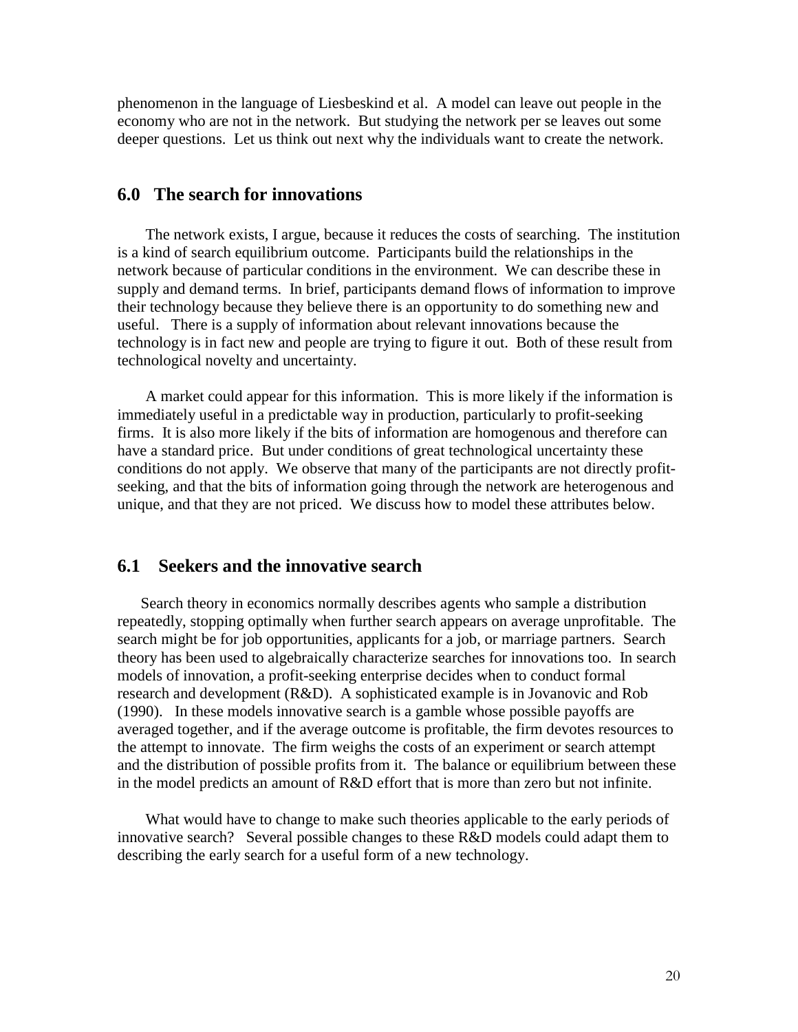phenomenon in the language of Liesbeskind et al. A model can leave out people in the economy who are not in the network. But studying the network per se leaves out some deeper questions. Let us think out next why the individuals want to create the network.

## **6.0 The search for innovations**

The network exists, I argue, because it reduces the costs of searching. The institution is a kind of search equilibrium outcome. Participants build the relationships in the network because of particular conditions in the environment. We can describe these in supply and demand terms. In brief, participants demand flows of information to improve their technology because they believe there is an opportunity to do something new and useful. There is a supply of information about relevant innovations because the technology is in fact new and people are trying to figure it out. Both of these result from technological novelty and uncertainty.

A market could appear for this information. This is more likely if the information is immediately useful in a predictable way in production, particularly to profit-seeking firms. It is also more likely if the bits of information are homogenous and therefore can have a standard price. But under conditions of great technological uncertainty these conditions do not apply. We observe that many of the participants are not directly profitseeking, and that the bits of information going through the network are heterogenous and unique, and that they are not priced. We discuss how to model these attributes below.

## **6.1 Seekers and the innovative search**

Search theory in economics normally describes agents who sample a distribution repeatedly, stopping optimally when further search appears on average unprofitable. The search might be for job opportunities, applicants for a job, or marriage partners. Search theory has been used to algebraically characterize searches for innovations too. In search models of innovation, a profit-seeking enterprise decides when to conduct formal research and development (R&D). A sophisticated example is in Jovanovic and Rob (1990). In these models innovative search is a gamble whose possible payoffs are averaged together, and if the average outcome is profitable, the firm devotes resources to the attempt to innovate. The firm weighs the costs of an experiment or search attempt and the distribution of possible profits from it. The balance or equilibrium between these in the model predicts an amount of R&D effort that is more than zero but not infinite.

What would have to change to make such theories applicable to the early periods of innovative search? Several possible changes to these R&D models could adapt them to describing the early search for a useful form of a new technology.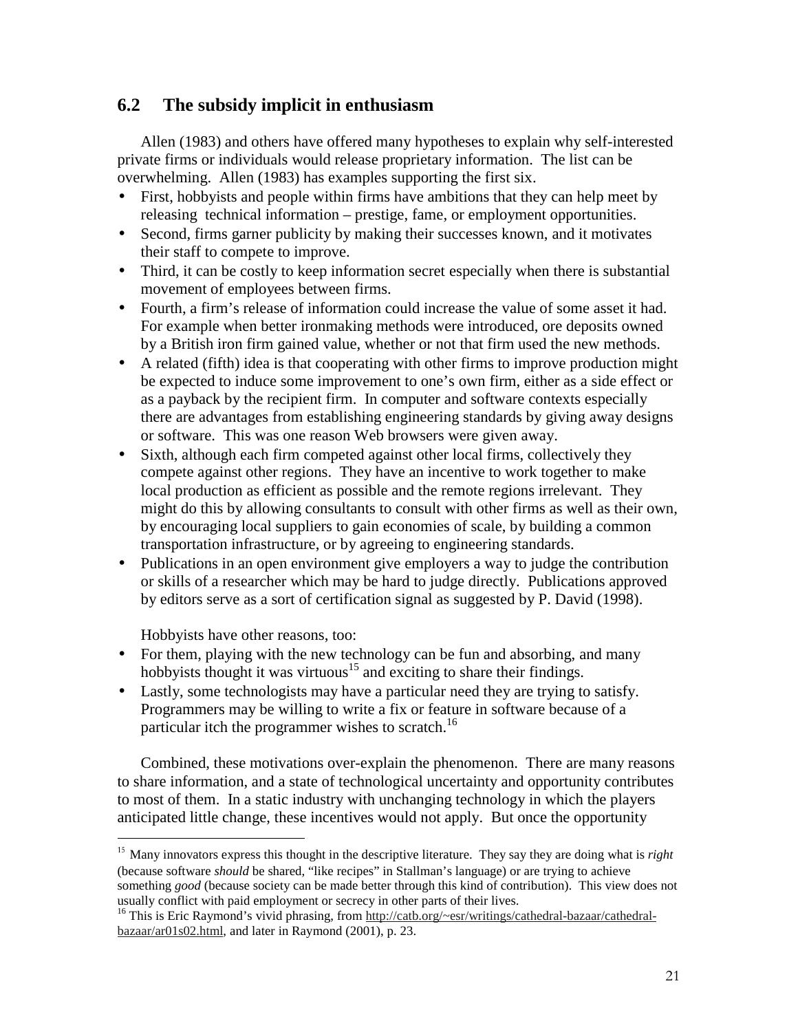# **6.2 The subsidy implicit in enthusiasm**

Allen (1983) and others have offered many hypotheses to explain why self-interested private firms or individuals would release proprietary information. The list can be overwhelming. Allen (1983) has examples supporting the first six.

- First, hobbyists and people within firms have ambitions that they can help meet by releasing technical information – prestige, fame, or employment opportunities.
- Second, firms garner publicity by making their successes known, and it motivates their staff to compete to improve.
- Third, it can be costly to keep information secret especially when there is substantial movement of employees between firms.
- Fourth, a firm's release of information could increase the value of some asset it had. For example when better ironmaking methods were introduced, ore deposits owned by a British iron firm gained value, whether or not that firm used the new methods.
- A related (fifth) idea is that cooperating with other firms to improve production might be expected to induce some improvement to one's own firm, either as a side effect or as a payback by the recipient firm. In computer and software contexts especially there are advantages from establishing engineering standards by giving away designs or software. This was one reason Web browsers were given away.
- Sixth, although each firm competed against other local firms, collectively they compete against other regions. They have an incentive to work together to make local production as efficient as possible and the remote regions irrelevant. They might do this by allowing consultants to consult with other firms as well as their own, by encouraging local suppliers to gain economies of scale, by building a common transportation infrastructure, or by agreeing to engineering standards.
- Publications in an open environment give employers a way to judge the contribution or skills of a researcher which may be hard to judge directly. Publications approved by editors serve as a sort of certification signal as suggested by P. David (1998).

Hobbyists have other reasons, too:

------------------------------------------------

- For them, playing with the new technology can be fun and absorbing, and many hobbyists thought it was virtuous<sup>15</sup> and exciting to share their findings.
- Lastly, some technologists may have a particular need they are trying to satisfy. Programmers may be willing to write a fix or feature in software because of a particular itch the programmer wishes to scratch.<sup>16</sup>

Combined, these motivations over-explain the phenomenon. There are many reasons to share information, and a state of technological uncertainty and opportunity contributes to most of them. In a static industry with unchanging technology in which the players anticipated little change, these incentives would not apply. But once the opportunity

<sup>&</sup>lt;sup>15</sup> Many innovators express this thought in the descriptive literature. They say they are doing what is *right* (because software *should* be shared, "like recipes" in Stallman's language) or are trying to achieve something *good* (because society can be made better through this kind of contribution). This view does not usually conflict with paid employment or secrecy in other parts of their lives.

<sup>&</sup>lt;sup>16</sup> This is Eric Raymond's vivid phrasing, from http://catb.org/~esr/writings/cathedral-bazaar/cathedralbazaar/ar01s02.html, and later in Raymond (2001), p. 23.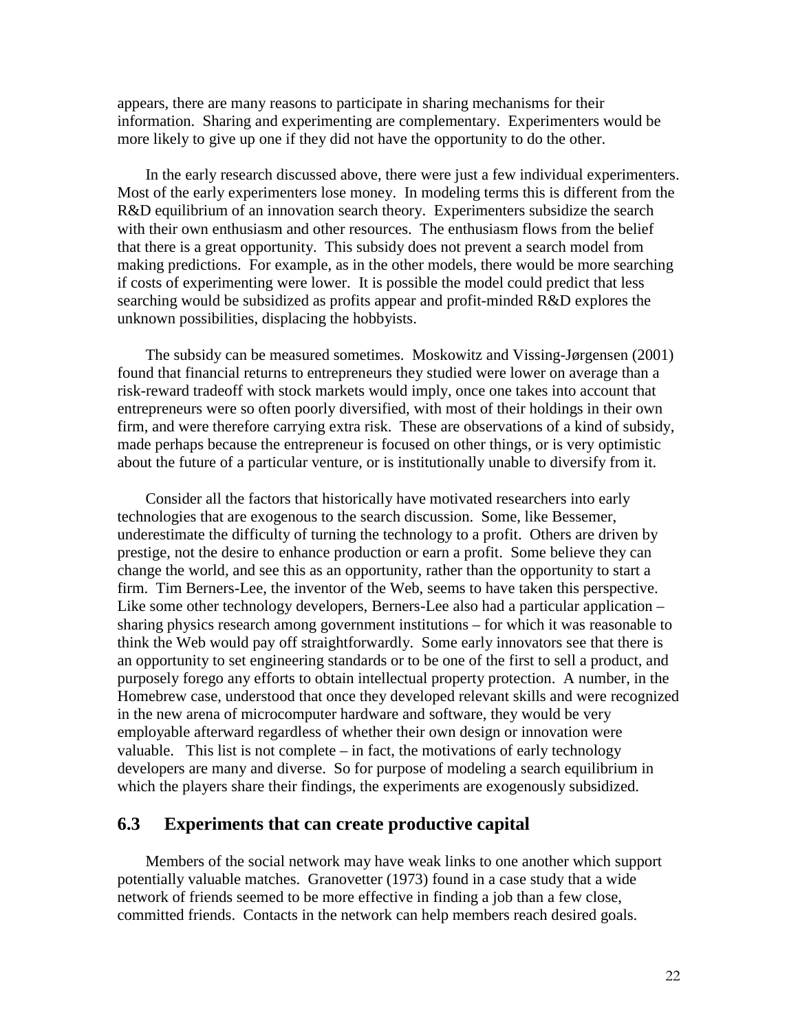appears, there are many reasons to participate in sharing mechanisms for their information. Sharing and experimenting are complementary. Experimenters would be more likely to give up one if they did not have the opportunity to do the other.

In the early research discussed above, there were just a few individual experimenters. Most of the early experimenters lose money. In modeling terms this is different from the R&D equilibrium of an innovation search theory. Experimenters subsidize the search with their own enthusiasm and other resources. The enthusiasm flows from the belief that there is a great opportunity. This subsidy does not prevent a search model from making predictions. For example, as in the other models, there would be more searching if costs of experimenting were lower. It is possible the model could predict that less searching would be subsidized as profits appear and profit-minded R&D explores the unknown possibilities, displacing the hobbyists.

The subsidy can be measured sometimes. Moskowitz and Vissing-Jørgensen (2001) found that financial returns to entrepreneurs they studied were lower on average than a risk-reward tradeoff with stock markets would imply, once one takes into account that entrepreneurs were so often poorly diversified, with most of their holdings in their own firm, and were therefore carrying extra risk. These are observations of a kind of subsidy, made perhaps because the entrepreneur is focused on other things, or is very optimistic about the future of a particular venture, or is institutionally unable to diversify from it.

Consider all the factors that historically have motivated researchers into early technologies that are exogenous to the search discussion. Some, like Bessemer, underestimate the difficulty of turning the technology to a profit. Others are driven by prestige, not the desire to enhance production or earn a profit. Some believe they can change the world, and see this as an opportunity, rather than the opportunity to start a firm. Tim Berners-Lee, the inventor of the Web, seems to have taken this perspective. Like some other technology developers, Berners-Lee also had a particular application – sharing physics research among government institutions – for which it was reasonable to think the Web would pay off straightforwardly. Some early innovators see that there is an opportunity to set engineering standards or to be one of the first to sell a product, and purposely forego any efforts to obtain intellectual property protection. A number, in the Homebrew case, understood that once they developed relevant skills and were recognized in the new arena of microcomputer hardware and software, they would be very employable afterward regardless of whether their own design or innovation were valuable. This list is not complete – in fact, the motivations of early technology developers are many and diverse. So for purpose of modeling a search equilibrium in which the players share their findings, the experiments are exogenously subsidized.

#### **6.3 Experiments that can create productive capital**

Members of the social network may have weak links to one another which support potentially valuable matches. Granovetter (1973) found in a case study that a wide network of friends seemed to be more effective in finding a job than a few close, committed friends. Contacts in the network can help members reach desired goals.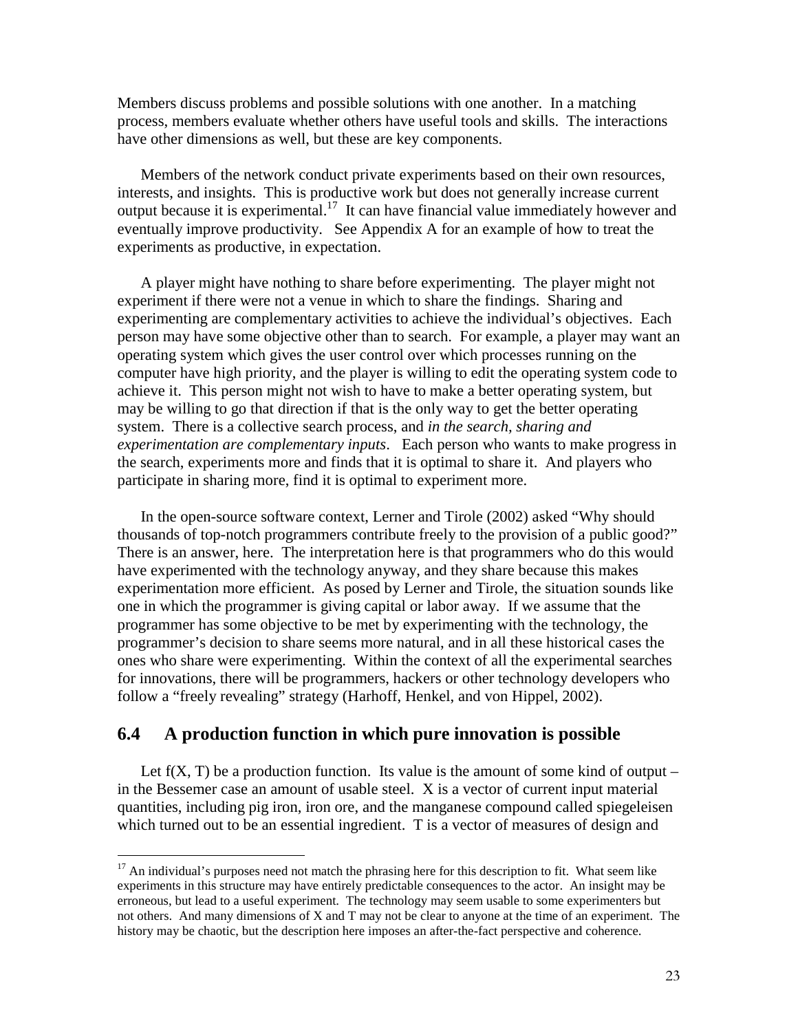Members discuss problems and possible solutions with one another. In a matching process, members evaluate whether others have useful tools and skills. The interactions have other dimensions as well, but these are key components.

Members of the network conduct private experiments based on their own resources, interests, and insights. This is productive work but does not generally increase current output because it is experimental.<sup>17</sup> It can have financial value immediately however and eventually improve productivity. See Appendix A for an example of how to treat the experiments as productive, in expectation.

A player might have nothing to share before experimenting. The player might not experiment if there were not a venue in which to share the findings. Sharing and experimenting are complementary activities to achieve the individual's objectives. Each person may have some objective other than to search. For example, a player may want an operating system which gives the user control over which processes running on the computer have high priority, and the player is willing to edit the operating system code to achieve it. This person might not wish to have to make a better operating system, but may be willing to go that direction if that is the only way to get the better operating system. There is a collective search process, and *in the search, sharing and experimentation are complementary inputs*. Each person who wants to make progress in the search, experiments more and finds that it is optimal to share it. And players who participate in sharing more, find it is optimal to experiment more.

In the open-source software context, Lerner and Tirole (2002) asked "Why should thousands of top-notch programmers contribute freely to the provision of a public good?" There is an answer, here. The interpretation here is that programmers who do this would have experimented with the technology anyway, and they share because this makes experimentation more efficient. As posed by Lerner and Tirole, the situation sounds like one in which the programmer is giving capital or labor away. If we assume that the programmer has some objective to be met by experimenting with the technology, the programmer's decision to share seems more natural, and in all these historical cases the ones who share were experimenting. Within the context of all the experimental searches for innovations, there will be programmers, hackers or other technology developers who follow a "freely revealing" strategy (Harhoff, Henkel, and von Hippel, 2002).

#### **6.4 A production function in which pure innovation is possible**

Let  $f(X, T)$  be a production function. Its value is the amount of some kind of output – in the Bessemer case an amount of usable steel. X is a vector of current input material quantities, including pig iron, iron ore, and the manganese compound called spiegeleisen which turned out to be an essential ingredient. T is a vector of measures of design and

<sup>&</sup>lt;sup>17</sup> An individual's purposes need not match the phrasing here for this description to fit. What seem like experiments in this structure may have entirely predictable consequences to the actor. An insight may be erroneous, but lead to a useful experiment. The technology may seem usable to some experimenters but not others. And many dimensions of X and T may not be clear to anyone at the time of an experiment. The history may be chaotic, but the description here imposes an after-the-fact perspective and coherence.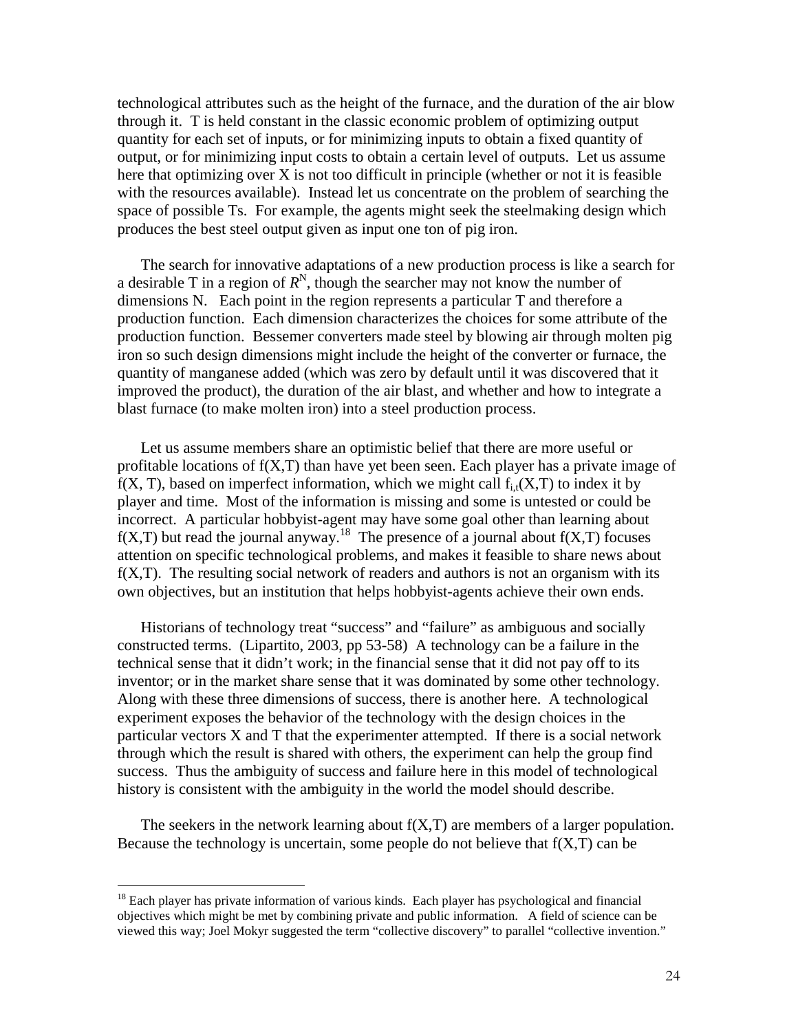technological attributes such as the height of the furnace, and the duration of the air blow through it. T is held constant in the classic economic problem of optimizing output quantity for each set of inputs, or for minimizing inputs to obtain a fixed quantity of output, or for minimizing input costs to obtain a certain level of outputs. Let us assume here that optimizing over  $X$  is not too difficult in principle (whether or not it is feasible with the resources available). Instead let us concentrate on the problem of searching the space of possible Ts. For example, the agents might seek the steelmaking design which produces the best steel output given as input one ton of pig iron.

The search for innovative adaptations of a new production process is like a search for a desirable T in a region of  $R^N$ , though the searcher may not know the number of dimensions N. Each point in the region represents a particular T and therefore a production function. Each dimension characterizes the choices for some attribute of the production function. Bessemer converters made steel by blowing air through molten pig iron so such design dimensions might include the height of the converter or furnace, the quantity of manganese added (which was zero by default until it was discovered that it improved the product), the duration of the air blast, and whether and how to integrate a blast furnace (to make molten iron) into a steel production process.

Let us assume members share an optimistic belief that there are more useful or profitable locations of f(X,T) than have yet been seen. Each player has a private image of  $f(X, T)$ , based on imperfect information, which we might call  $f_i(x, T)$  to index it by player and time. Most of the information is missing and some is untested or could be incorrect. A particular hobbyist-agent may have some goal other than learning about  $f(X,T)$  but read the journal anyway.<sup>18</sup> The presence of a journal about  $f(X,T)$  focuses attention on specific technological problems, and makes it feasible to share news about  $f(X,T)$ . The resulting social network of readers and authors is not an organism with its own objectives, but an institution that helps hobbyist-agents achieve their own ends.

Historians of technology treat "success" and "failure" as ambiguous and socially constructed terms. (Lipartito, 2003, pp 53-58) A technology can be a failure in the technical sense that it didn't work; in the financial sense that it did not pay off to its inventor; or in the market share sense that it was dominated by some other technology. Along with these three dimensions of success, there is another here. A technological experiment exposes the behavior of the technology with the design choices in the particular vectors X and T that the experimenter attempted. If there is a social network through which the result is shared with others, the experiment can help the group find success. Thus the ambiguity of success and failure here in this model of technological history is consistent with the ambiguity in the world the model should describe.

The seekers in the network learning about  $f(X,T)$  are members of a larger population. Because the technology is uncertain, some people do not believe that  $f(X,T)$  can be

------------------------------------------------

<sup>&</sup>lt;sup>18</sup> Each player has private information of various kinds. Each player has psychological and financial objectives which might be met by combining private and public information. A field of science can be viewed this way; Joel Mokyr suggested the term "collective discovery" to parallel "collective invention."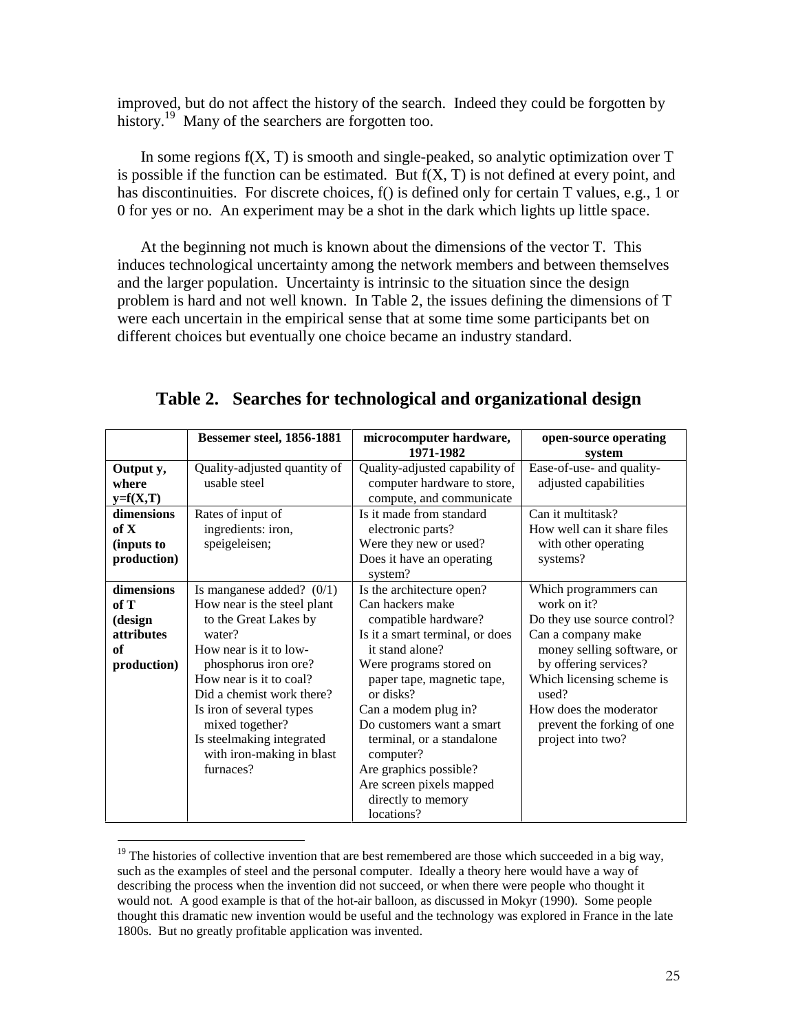improved, but do not affect the history of the search. Indeed they could be forgotten by history.<sup>19</sup> Many of the searchers are forgotten too.

In some regions  $f(X, T)$  is smooth and single-peaked, so analytic optimization over  $T$ is possible if the function can be estimated. But  $f(X, T)$  is not defined at every point, and has discontinuities. For discrete choices, f() is defined only for certain T values, e.g., 1 or 0 for yes or no. An experiment may be a shot in the dark which lights up little space.

At the beginning not much is known about the dimensions of the vector T. This induces technological uncertainty among the network members and between themselves and the larger population. Uncertainty is intrinsic to the situation since the design problem is hard and not well known. In Table 2, the issues defining the dimensions of T were each uncertain in the empirical sense that at some time some participants bet on different choices but eventually one choice became an industry standard.

|                    | <b>Bessemer steel, 1856-1881</b>                       | microcomputer hardware,                                       | open-source operating                              |  |
|--------------------|--------------------------------------------------------|---------------------------------------------------------------|----------------------------------------------------|--|
|                    |                                                        | 1971-1982                                                     | system                                             |  |
| Output y,<br>where | Quality-adjusted quantity of<br>usable steel           | Quality-adjusted capability of<br>computer hardware to store, | Ease-of-use- and quality-<br>adjusted capabilities |  |
| $y=f(X,T)$         |                                                        | compute, and communicate                                      |                                                    |  |
| dimensions         | Rates of input of                                      | Is it made from standard                                      | Can it multitask?                                  |  |
| of X               | ingredients: iron,                                     | electronic parts?                                             | How well can it share files                        |  |
| (inputs to         | speigeleisen;                                          | Were they new or used?                                        | with other operating                               |  |
| production)        |                                                        | Does it have an operating<br>system?                          | systems?                                           |  |
| dimensions         | Is manganese added? $(0/1)$                            | Is the architecture open?                                     | Which programmers can                              |  |
| of T               | How near is the steel plant                            | Can hackers make                                              | work on it?                                        |  |
| (design            | to the Great Lakes by                                  | compatible hardware?                                          | Do they use source control?                        |  |
| <i>attributes</i>  | water?                                                 | Is it a smart terminal, or does                               | Can a company make                                 |  |
| of                 | How near is it to low-                                 | it stand alone?                                               | money selling software, or                         |  |
| production)        | phosphorus iron ore?                                   | Were programs stored on                                       | by offering services?                              |  |
|                    | How near is it to coal?                                | paper tape, magnetic tape,                                    | Which licensing scheme is                          |  |
|                    | Did a chemist work there?                              | or disks?                                                     | used?                                              |  |
|                    | Is iron of several types                               | Can a modem plug in?                                          | How does the moderator                             |  |
|                    | mixed together?                                        | Do customers want a smart                                     | prevent the forking of one                         |  |
|                    | Is steelmaking integrated<br>with iron-making in blast | terminal, or a standalone<br>computer?                        | project into two?                                  |  |
|                    | furnaces?                                              | Are graphics possible?                                        |                                                    |  |
|                    |                                                        | Are screen pixels mapped                                      |                                                    |  |
|                    |                                                        | directly to memory                                            |                                                    |  |
|                    |                                                        | locations?                                                    |                                                    |  |

**Table 2. Searches for technological and organizational design** 

<sup>&</sup>lt;sup>19</sup> The histories of collective invention that are best remembered are those which succeeded in a big way, such as the examples of steel and the personal computer. Ideally a theory here would have a way of describing the process when the invention did not succeed, or when there were people who thought it would not. A good example is that of the hot-air balloon, as discussed in Mokyr (1990). Some people thought this dramatic new invention would be useful and the technology was explored in France in the late 1800s. But no greatly profitable application was invented.-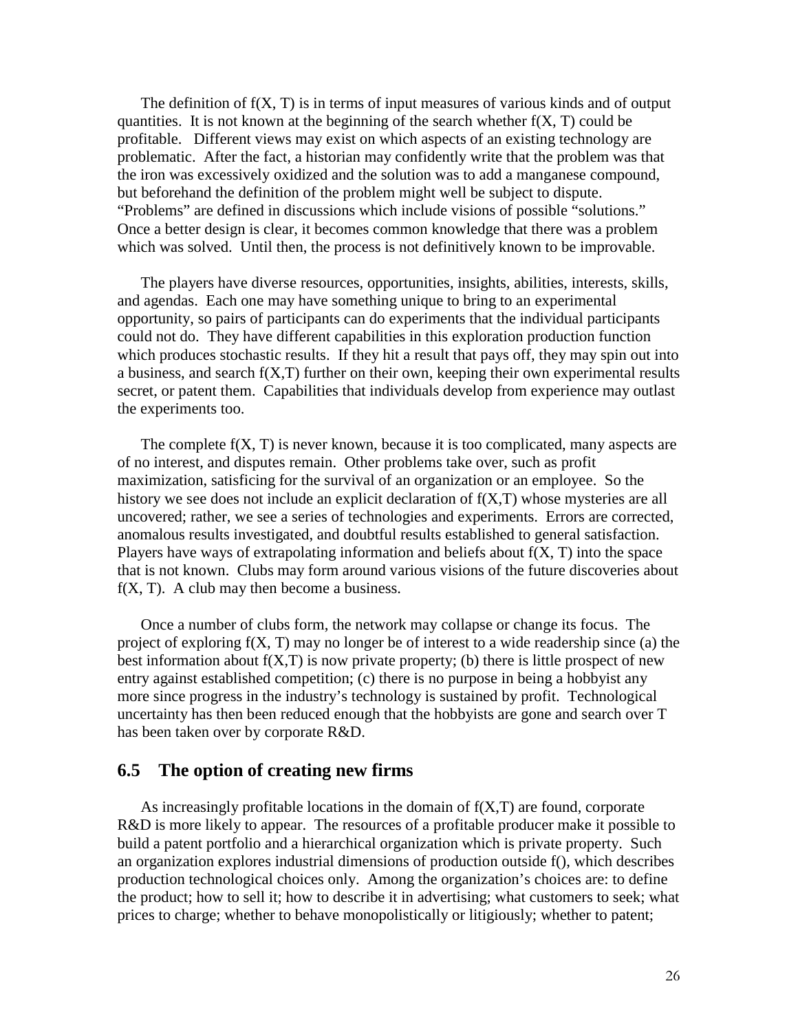The definition of  $f(X, T)$  is in terms of input measures of various kinds and of output quantities. It is not known at the beginning of the search whether  $f(X, T)$  could be profitable. Different views may exist on which aspects of an existing technology are problematic. After the fact, a historian may confidently write that the problem was that the iron was excessively oxidized and the solution was to add a manganese compound, but beforehand the definition of the problem might well be subject to dispute. "Problems" are defined in discussions which include visions of possible "solutions." Once a better design is clear, it becomes common knowledge that there was a problem which was solved. Until then, the process is not definitively known to be improvable.

The players have diverse resources, opportunities, insights, abilities, interests, skills, and agendas. Each one may have something unique to bring to an experimental opportunity, so pairs of participants can do experiments that the individual participants could not do. They have different capabilities in this exploration production function which produces stochastic results. If they hit a result that pays off, they may spin out into a business, and search f(X,T) further on their own, keeping their own experimental results secret, or patent them. Capabilities that individuals develop from experience may outlast the experiments too.

The complete  $f(X, T)$  is never known, because it is too complicated, many aspects are of no interest, and disputes remain. Other problems take over, such as profit maximization, satisficing for the survival of an organization or an employee. So the history we see does not include an explicit declaration of f(X,T) whose mysteries are all uncovered; rather, we see a series of technologies and experiments. Errors are corrected, anomalous results investigated, and doubtful results established to general satisfaction. Players have ways of extrapolating information and beliefs about  $f(X, T)$  into the space that is not known. Clubs may form around various visions of the future discoveries about  $f(X, T)$ . A club may then become a business.

Once a number of clubs form, the network may collapse or change its focus. The project of exploring  $f(X, T)$  may no longer be of interest to a wide readership since (a) the best information about  $f(X,T)$  is now private property; (b) there is little prospect of new entry against established competition; (c) there is no purpose in being a hobbyist any more since progress in the industry's technology is sustained by profit. Technological uncertainty has then been reduced enough that the hobbyists are gone and search over T has been taken over by corporate R&D.

# **6.5 The option of creating new firms**

As increasingly profitable locations in the domain of  $f(X,T)$  are found, corporate R&D is more likely to appear. The resources of a profitable producer make it possible to build a patent portfolio and a hierarchical organization which is private property. Such an organization explores industrial dimensions of production outside f(), which describes production technological choices only. Among the organization's choices are: to define the product; how to sell it; how to describe it in advertising; what customers to seek; what prices to charge; whether to behave monopolistically or litigiously; whether to patent;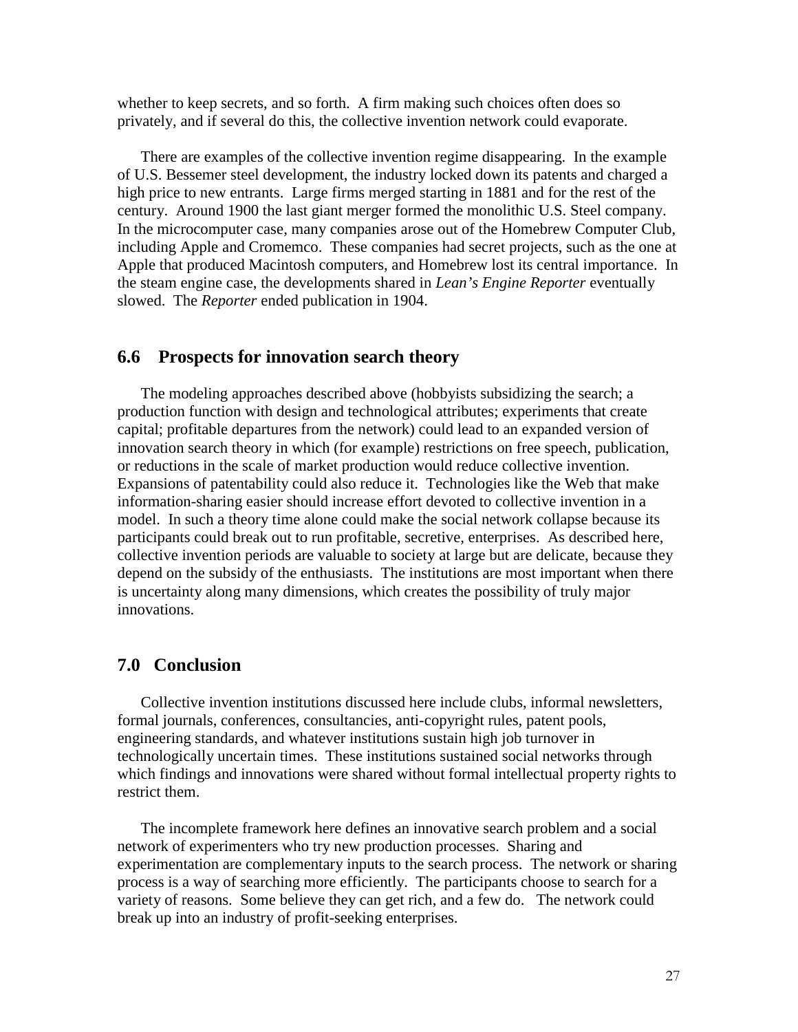whether to keep secrets, and so forth. A firm making such choices often does so privately, and if several do this, the collective invention network could evaporate.

There are examples of the collective invention regime disappearing. In the example of U.S. Bessemer steel development, the industry locked down its patents and charged a high price to new entrants. Large firms merged starting in 1881 and for the rest of the century. Around 1900 the last giant merger formed the monolithic U.S. Steel company. In the microcomputer case, many companies arose out of the Homebrew Computer Club, including Apple and Cromemco. These companies had secret projects, such as the one at Apple that produced Macintosh computers, and Homebrew lost its central importance. In the steam engine case, the developments shared in *Lean's Engine Reporter* eventually slowed. The *Reporter* ended publication in 1904.

#### **6.6 Prospects for innovation search theory**

The modeling approaches described above (hobbyists subsidizing the search; a production function with design and technological attributes; experiments that create capital; profitable departures from the network) could lead to an expanded version of innovation search theory in which (for example) restrictions on free speech, publication, or reductions in the scale of market production would reduce collective invention. Expansions of patentability could also reduce it. Technologies like the Web that make information-sharing easier should increase effort devoted to collective invention in a model. In such a theory time alone could make the social network collapse because its participants could break out to run profitable, secretive, enterprises. As described here, collective invention periods are valuable to society at large but are delicate, because they depend on the subsidy of the enthusiasts. The institutions are most important when there is uncertainty along many dimensions, which creates the possibility of truly major innovations.

#### **7.0 Conclusion**

Collective invention institutions discussed here include clubs, informal newsletters, formal journals, conferences, consultancies, anti-copyright rules, patent pools, engineering standards, and whatever institutions sustain high job turnover in technologically uncertain times. These institutions sustained social networks through which findings and innovations were shared without formal intellectual property rights to restrict them.

The incomplete framework here defines an innovative search problem and a social network of experimenters who try new production processes. Sharing and experimentation are complementary inputs to the search process. The network or sharing process is a way of searching more efficiently. The participants choose to search for a variety of reasons. Some believe they can get rich, and a few do. The network could break up into an industry of profit-seeking enterprises.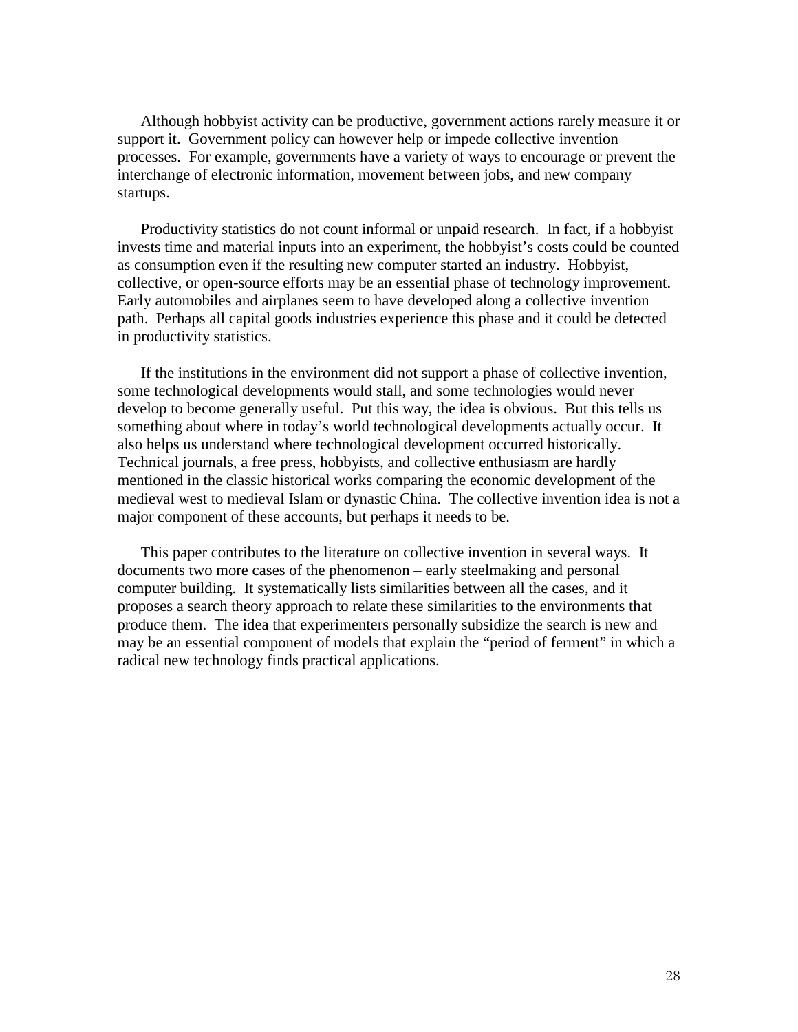Although hobbyist activity can be productive, government actions rarely measure it or support it. Government policy can however help or impede collective invention processes. For example, governments have a variety of ways to encourage or prevent the interchange of electronic information, movement between jobs, and new company startups.

Productivity statistics do not count informal or unpaid research. In fact, if a hobbyist invests time and material inputs into an experiment, the hobbyist's costs could be counted as consumption even if the resulting new computer started an industry. Hobbyist, collective, or open-source efforts may be an essential phase of technology improvement. Early automobiles and airplanes seem to have developed along a collective invention path. Perhaps all capital goods industries experience this phase and it could be detected in productivity statistics.

If the institutions in the environment did not support a phase of collective invention, some technological developments would stall, and some technologies would never develop to become generally useful. Put this way, the idea is obvious. But this tells us something about where in today's world technological developments actually occur. It also helps us understand where technological development occurred historically. Technical journals, a free press, hobbyists, and collective enthusiasm are hardly mentioned in the classic historical works comparing the economic development of the medieval west to medieval Islam or dynastic China. The collective invention idea is not a major component of these accounts, but perhaps it needs to be.

This paper contributes to the literature on collective invention in several ways. It documents two more cases of the phenomenon – early steelmaking and personal computer building. It systematically lists similarities between all the cases, and it proposes a search theory approach to relate these similarities to the environments that produce them. The idea that experimenters personally subsidize the search is new and may be an essential component of models that explain the "period of ferment" in which a radical new technology finds practical applications.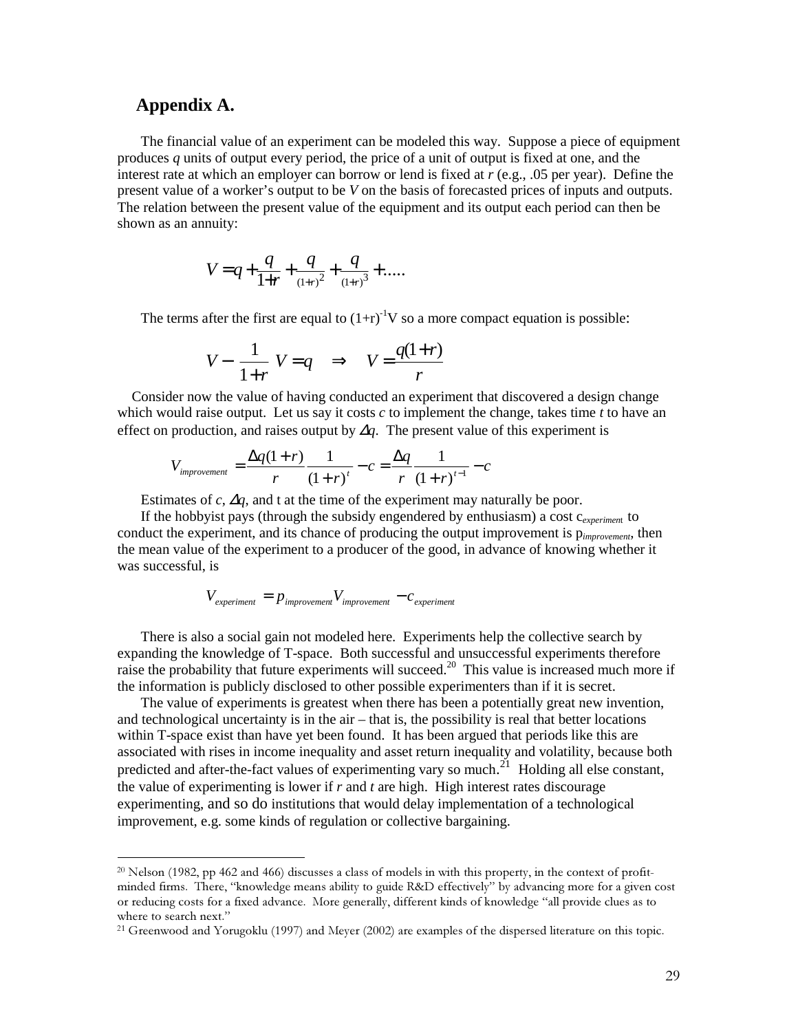#### **Appendix A.**

------------------------------------------------

The financial value of an experiment can be modeled this way. Suppose a piece of equipment produces *q* units of output every period, the price of a unit of output is fixed at one, and the interest rate at which an employer can borrow or lend is fixed at *r* (e.g., .05 per year). Define the present value of a worker's output to be *V* on the basis of forecasted prices of inputs and outputs. The relation between the present value of the equipment and its output each period can then be shown as an annuity:

$$
V = q + \frac{q}{1+r} + \frac{q}{(1+r)^2} + \frac{q}{(1+r)^3} + \dots
$$

The terms after the first are equal to  $(1+r)^{-1}V$  so a more compact equation is possible:

$$
V - \left(\frac{1}{1+r}\right) V = q \quad \Rightarrow \quad V = \frac{q(1+r)}{r}
$$

 Consider now the value of having conducted an experiment that discovered a design change which would raise output. Let us say it costs *c* to implement the change, takes time *t* to have an effect on production, and raises output by ∆*q*. The present value of this experiment is

$$
V_{\text{improvement}} = \frac{\Delta q (1+r)}{r} \frac{1}{(1+r)^t} - c = \frac{\Delta q}{r} \frac{1}{(1+r)^{t-1}} - c
$$

Estimates of *c*,  $\Delta q$ , and t at the time of the experiment may naturally be poor.

If the hobbyist pays (through the subsidy engendered by enthusiasm) a cost c*experimen*t to conduct the experiment, and its chance of producing the output improvement is p*improvement*, then the mean value of the experiment to a producer of the good, in advance of knowing whether it was successful, is

$$
V_{experiment} = p_{\text{improvement}} V_{\text{improvement}} - c_{\text{experiment}}
$$

There is also a social gain not modeled here. Experiments help the collective search by expanding the knowledge of T-space. Both successful and unsuccessful experiments therefore raise the probability that future experiments will succeed.<sup>20</sup> This value is increased much more if the information is publicly disclosed to other possible experimenters than if it is secret.

The value of experiments is greatest when there has been a potentially great new invention, and technological uncertainty is in the air – that is, the possibility is real that better locations within T-space exist than have yet been found. It has been argued that periods like this are associated with rises in income inequality and asset return inequality and volatility, because both predicted and after-the-fact values of experimenting vary so much.<sup>21</sup> Holding all else constant, the value of experimenting is lower if *r* and *t* are high. High interest rates discourage experimenting, and so do institutions that would delay implementation of a technological improvement, e.g. some kinds of regulation or collective bargaining.

<sup>&</sup>lt;sup>20</sup> Nelson (1982, pp 462 and 466) discusses a class of models in with this property, in the context of profitminded firms. There, "knowledge means ability to guide R&D effectively" by advancing more for a given cost or reducing costs for a fixed advance. More generally, different kinds of knowledge "all provide clues as to where to search next."

<sup>&</sup>lt;sup>21</sup> Greenwood and Yorugoklu (1997) and Meyer (2002) are examples of the dispersed literature on this topic.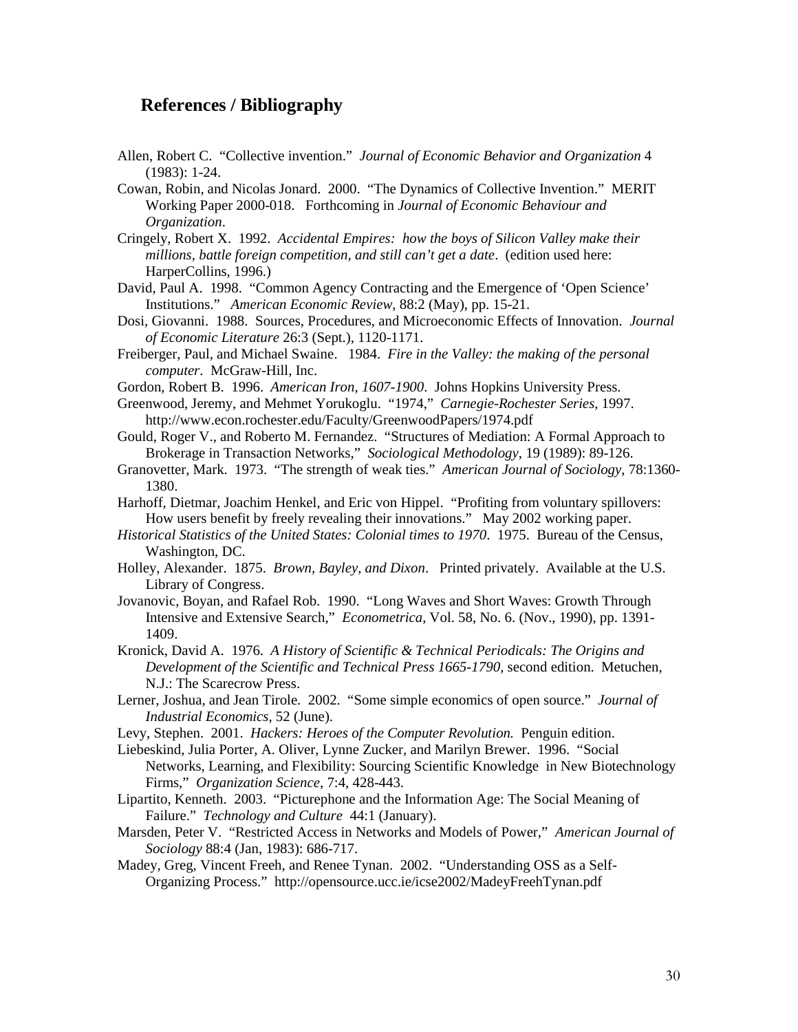#### **References / Bibliography**

- Allen, Robert C. "Collective invention." *Journal of Economic Behavior and Organization* 4 (1983): 1-24.
- Cowan, Robin, and Nicolas Jonard. 2000. "The Dynamics of Collective Invention." MERIT Working Paper 2000-018. Forthcoming in *Journal of Economic Behaviour and Organization*.
- Cringely, Robert X. 1992. *Accidental Empires: how the boys of Silicon Valley make their millions, battle foreign competition, and still can't get a date*. (edition used here: HarperCollins, 1996.)
- David, Paul A. 1998. "Common Agency Contracting and the Emergence of 'Open Science' Institutions." *American Economic Review*, 88:2 (May), pp. 15-21.
- Dosi, Giovanni. 1988. Sources, Procedures, and Microeconomic Effects of Innovation. *Journal of Economic Literature* 26:3 (Sept.), 1120-1171.
- Freiberger, Paul, and Michael Swaine. 1984. *Fire in the Valley: the making of the personal computer*. McGraw-Hill, Inc.
- Gordon, Robert B. 1996. *American Iron, 1607-1900*. Johns Hopkins University Press.
- Greenwood, Jeremy, and Mehmet Yorukoglu. "1974," *Carnegie-Rochester Series*, 1997. http://www.econ.rochester.edu/Faculty/GreenwoodPapers/1974.pdf
- Gould, Roger V., and Roberto M. Fernandez. "Structures of Mediation: A Formal Approach to Brokerage in Transaction Networks," *Sociological Methodology*, 19 (1989): 89-126.
- Granovetter, Mark. 1973. "The strength of weak ties." *American Journal of Sociology*, 78:1360- 1380.
- Harhoff, Dietmar, Joachim Henkel, and Eric von Hippel. "Profiting from voluntary spillovers: How users benefit by freely revealing their innovations." May 2002 working paper.
- *Historical Statistics of the United States: Colonial times to 1970*. 1975. Bureau of the Census, Washington, DC.
- Holley, Alexander. 1875. *Brown, Bayley, and Dixon*. Printed privately. Available at the U.S. Library of Congress.
- Jovanovic, Boyan, and Rafael Rob. 1990. "Long Waves and Short Waves: Growth Through Intensive and Extensive Search," *Econometrica*, Vol. 58, No. 6. (Nov., 1990), pp. 1391- 1409.
- Kronick, David A. 1976. *A History of Scientific & Technical Periodicals: The Origins and Development of the Scientific and Technical Press 1665-1790*, second edition. Metuchen, N.J.: The Scarecrow Press.
- Lerner, Joshua, and Jean Tirole. 2002. "Some simple economics of open source." *Journal of Industrial Economics*, 52 (June).
- Levy, Stephen. 2001. *Hackers: Heroes of the Computer Revolution.* Penguin edition.
- Liebeskind, Julia Porter, A. Oliver, Lynne Zucker, and Marilyn Brewer. 1996. "Social Networks, Learning, and Flexibility: Sourcing Scientific Knowledge in New Biotechnology Firms," *Organization Science*, 7:4, 428-443.
- Lipartito, Kenneth. 2003. "Picturephone and the Information Age: The Social Meaning of Failure." *Technology and Culture* 44:1 (January).
- Marsden, Peter V. "Restricted Access in Networks and Models of Power," *American Journal of Sociology* 88:4 (Jan, 1983): 686-717.
- Madey, Greg, Vincent Freeh, and Renee Tynan. 2002. "Understanding OSS as a Self-Organizing Process." http://opensource.ucc.ie/icse2002/MadeyFreehTynan.pdf